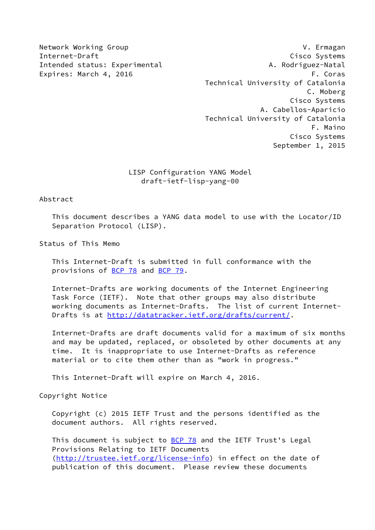Network Working Group **V. Example 2018** V. Ermagan Internet-Draft Cisco Systems Intended status: Experimental A. Rodriguez-Natal Expires: March 4, 2016 **F. Coras**  Technical University of Catalonia C. Moberg Cisco Systems A. Cabellos-Aparicio Technical University of Catalonia F. Maino Cisco Systems September 1, 2015

# LISP Configuration YANG Model draft-ietf-lisp-yang-00

Abstract

 This document describes a YANG data model to use with the Locator/ID Separation Protocol (LISP).

Status of This Memo

 This Internet-Draft is submitted in full conformance with the provisions of [BCP 78](https://datatracker.ietf.org/doc/pdf/bcp78) and [BCP 79](https://datatracker.ietf.org/doc/pdf/bcp79).

 Internet-Drafts are working documents of the Internet Engineering Task Force (IETF). Note that other groups may also distribute working documents as Internet-Drafts. The list of current Internet- Drafts is at<http://datatracker.ietf.org/drafts/current/>.

 Internet-Drafts are draft documents valid for a maximum of six months and may be updated, replaced, or obsoleted by other documents at any time. It is inappropriate to use Internet-Drafts as reference material or to cite them other than as "work in progress."

This Internet-Draft will expire on March 4, 2016.

Copyright Notice

 Copyright (c) 2015 IETF Trust and the persons identified as the document authors. All rights reserved.

This document is subject to **[BCP 78](https://datatracker.ietf.org/doc/pdf/bcp78)** and the IETF Trust's Legal Provisions Relating to IETF Documents [\(http://trustee.ietf.org/license-info](http://trustee.ietf.org/license-info)) in effect on the date of publication of this document. Please review these documents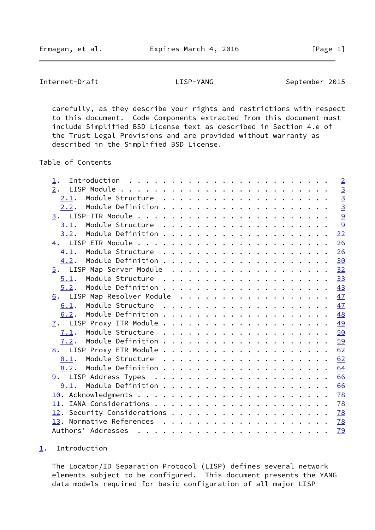<span id="page-1-1"></span>Internet-Draft LISP-YANG September 2015

 carefully, as they describe your rights and restrictions with respect to this document. Code Components extracted from this document must include Simplified BSD License text as described in Section 4.e of the Trust Legal Provisions and are provided without warranty as described in the Simplified BSD License.

Table of Contents

| 1.                           |  |  |  | $\overline{2}$ |
|------------------------------|--|--|--|----------------|
| 2.                           |  |  |  | $\overline{3}$ |
| 2.1.                         |  |  |  | $\overline{3}$ |
|                              |  |  |  | $\overline{3}$ |
|                              |  |  |  | 9              |
|                              |  |  |  | 9              |
| 3.2.                         |  |  |  | 22             |
|                              |  |  |  | 26             |
|                              |  |  |  | 26             |
| 4.2.                         |  |  |  | 30             |
| 5. LISP Map Server Module 32 |  |  |  |                |
| 5.1.                         |  |  |  | 33             |
| 5.2.                         |  |  |  | 43             |
| 6. LISP Map Resolver Module  |  |  |  | 47             |
| 6.1.                         |  |  |  | 47             |
| 6.2.                         |  |  |  | 48             |
|                              |  |  |  | 49             |
| 7.1.                         |  |  |  | 50             |
|                              |  |  |  | 59             |
|                              |  |  |  | 62             |
|                              |  |  |  | 62             |
| 8.2.                         |  |  |  | 64             |
|                              |  |  |  | 66             |
|                              |  |  |  | 66             |
|                              |  |  |  | 78             |
|                              |  |  |  | 78             |
|                              |  |  |  | <u>78</u>      |
|                              |  |  |  | 78             |
|                              |  |  |  | 79             |

## <span id="page-1-0"></span>[1](#page-1-0). Introduction

 The Locator/ID Separation Protocol (LISP) defines several network elements subject to be configured. This document presents the YANG data models required for basic configuration of all major LISP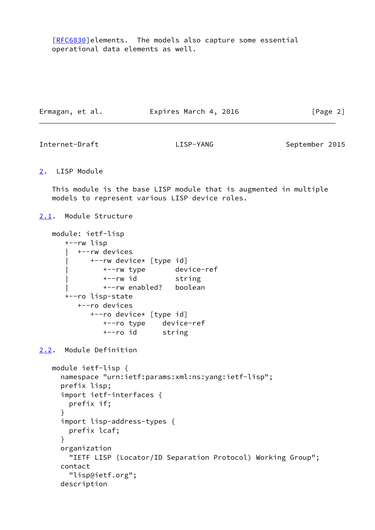[\[RFC6830](https://datatracker.ietf.org/doc/pdf/rfc6830)]elements. The models also capture some essential operational data elements as well.

| Expires March 4, 2016<br>Ermagan, et al. | [Page 2] |
|------------------------------------------|----------|
|------------------------------------------|----------|

<span id="page-2-1"></span>Internet-Draft LISP-YANG September 2015

<span id="page-2-0"></span>[2](#page-2-0). LISP Module

 This module is the base LISP module that is augmented in multiple models to represent various LISP device roles.

<span id="page-2-2"></span>[2.1](#page-2-2). Module Structure

```
 module: ietf-lisp
    +--rw lisp
      | +--rw devices
          | +--rw device* [type id]
            | +--rw type device-ref
             | +--rw id string
             | +--rw enabled? boolean
    +--ro lisp-state
       +--ro devices
          +--ro device* [type id]
             +--ro type device-ref
             +--ro id string
```
<span id="page-2-3"></span>[2.2](#page-2-3). Module Definition

```
 module ietf-lisp {
   namespace "urn:ietf:params:xml:ns:yang:ietf-lisp";
   prefix lisp;
   import ietf-interfaces {
     prefix if;
   }
   import lisp-address-types {
     prefix lcaf;
   }
   organization
     "IETF LISP (Locator/ID Separation Protocol) Working Group";
   contact
     "lisp@ietf.org";
   description
```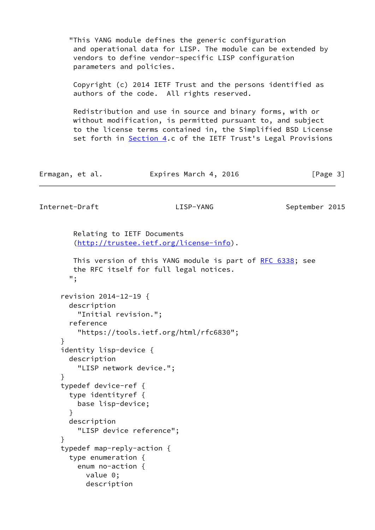"This YANG module defines the generic configuration and operational data for LISP. The module can be extended by vendors to define vendor-specific LISP configuration parameters and policies.

 Copyright (c) 2014 IETF Trust and the persons identified as authors of the code. All rights reserved.

 Redistribution and use in source and binary forms, with or without modification, is permitted pursuant to, and subject to the license terms contained in, the Simplified BSD License set forth in [Section 4.](#page-28-0)c of the IETF Trust's Legal Provisions

| Ermagan, et al. | Expires March 4, 2016 | [Page 3] |
|-----------------|-----------------------|----------|
|-----------------|-----------------------|----------|

Internet-Draft LISP-YANG September 2015

 Relating to IETF Documents [\(http://trustee.ietf.org/license-info](http://trustee.ietf.org/license-info)).

This version of this YANG module is part of [RFC 6338](https://datatracker.ietf.org/doc/pdf/rfc6338); see the RFC itself for full legal notices. "; revision 2014-12-19 { description "Initial revision."; reference "https://tools.ietf.org/html/rfc6830"; } identity lisp-device { description "LISP network device."; } typedef device-ref { type identityref { base lisp-device; } description "LISP device reference"; } typedef map-reply-action { type enumeration { enum no-action { value 0; description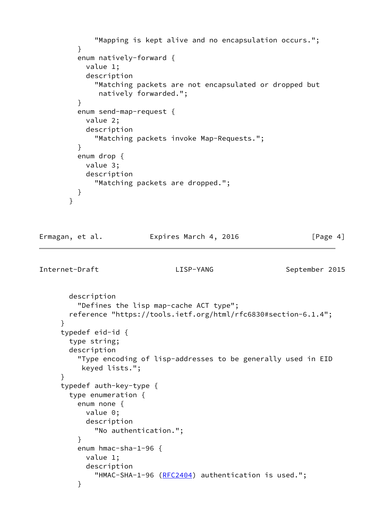```
 "Mapping is kept alive and no encapsulation occurs.";
         }
         enum natively-forward {
           value 1;
           description
             "Matching packets are not encapsulated or dropped but
              natively forwarded.";
         }
         enum send-map-request {
           value 2;
           description
             "Matching packets invoke Map-Requests.";
 }
         enum drop {
           value 3;
           description
             "Matching packets are dropped.";
         }
       }
Ermagan, et al. Expires March 4, 2016 [Page 4]
Internet-Draft LISP-YANG September 2015
       description
         "Defines the lisp map-cache ACT type";
       reference "https://tools.ietf.org/html/rfc6830#section-6.1.4";
     }
     typedef eid-id {
       type string;
       description
         "Type encoding of lisp-addresses to be generally used in EID
          keyed lists.";
     }
     typedef auth-key-type {
       type enumeration {
         enum none {
           value 0;
           description
             "No authentication.";
 }
         enum hmac-sha-1-96 {
           value 1;
           description
            (RFC2404) authentication is used.";
         }
```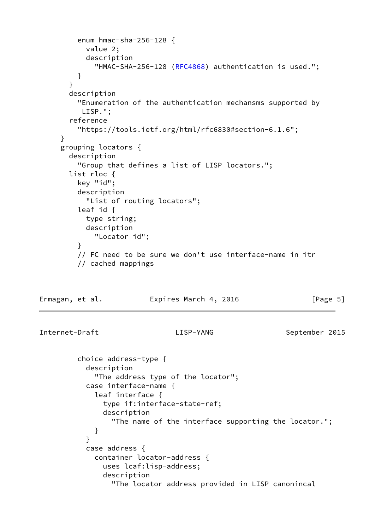```
 enum hmac-sha-256-128 {
           value 2;
           description
            (RFC4868) authentication is used.";
         }
       }
       description
         "Enumeration of the authentication mechansms supported by
          LISP.";
       reference
         "https://tools.ietf.org/html/rfc6830#section-6.1.6";
     }
     grouping locators {
       description
         "Group that defines a list of LISP locators.";
       list rloc {
         key "id";
         description
           "List of routing locators";
         leaf id {
           type string;
           description
             "Locator id";
         }
         // FC need to be sure we don't use interface-name in itr
         // cached mappings
Ermagan, et al. Expires March 4, 2016 [Page 5]
Internet-Draft LISP-YANG September 2015
         choice address-type {
           description
             "The address type of the locator";
           case interface-name {
             leaf interface {
               type if:interface-state-ref;
               description
                 "The name of the interface supporting the locator.";
 }
 }
           case address {
             container locator-address {
               uses lcaf:lisp-address;
               description
                 "The locator address provided in LISP canonincal
```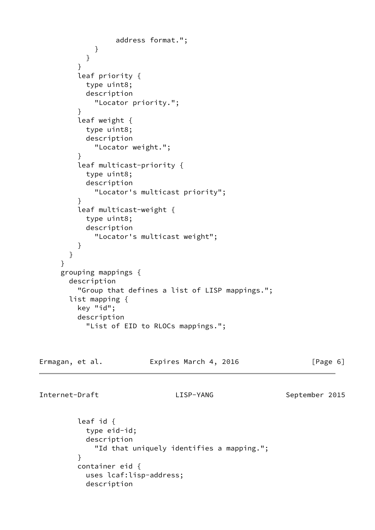```
 address format.";
 }
 }
 }
         leaf priority {
           type uint8;
           description
             "Locator priority.";
         }
         leaf weight {
           type uint8;
           description
             "Locator weight.";
         }
         leaf multicast-priority {
           type uint8;
           description
             "Locator's multicast priority";
 }
         leaf multicast-weight {
           type uint8;
           description
             "Locator's multicast weight";
         }
       }
     }
     grouping mappings {
       description
         "Group that defines a list of LISP mappings.";
       list mapping {
         key "id";
         description
           "List of EID to RLOCs mappings.";
Ermagan, et al. 
Expires March 4, 2016 
[Page 6]
Internet-Draft LISP-YANG September 2015
         leaf id {
           type eid-id;
```
 description "Id that uniquely identifies a mapping."; } container eid { uses lcaf:lisp-address; description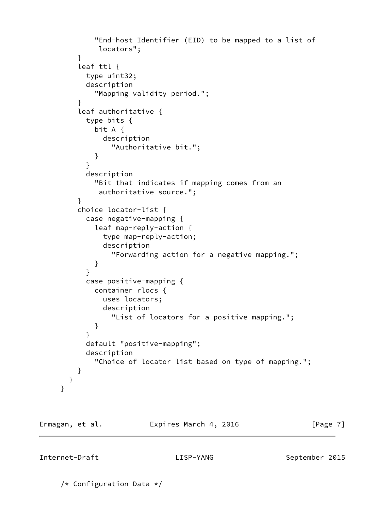```
 "End-host Identifier (EID) to be mapped to a list of
              locators";
 }
         leaf ttl {
           type uint32;
           description
             "Mapping validity period.";
 }
         leaf authoritative {
           type bits {
             bit A {
               description
                 "Authoritative bit.";
 }
 }
           description
             "Bit that indicates if mapping comes from an
              authoritative source.";
         }
         choice locator-list {
           case negative-mapping {
             leaf map-reply-action {
               type map-reply-action;
               description
                 "Forwarding action for a negative mapping.";
 }
 }
           case positive-mapping {
             container rlocs {
               uses locators;
               description
                 "List of locators for a positive mapping.";
 }
 }
           default "positive-mapping";
           description
             "Choice of locator list based on type of mapping.";
         }
       }
     }
```
Ermagan, et al. **Expires March 4, 2016** [Page 7]

Internet-Draft LISP-YANG September 2015

/\* Configuration Data \*/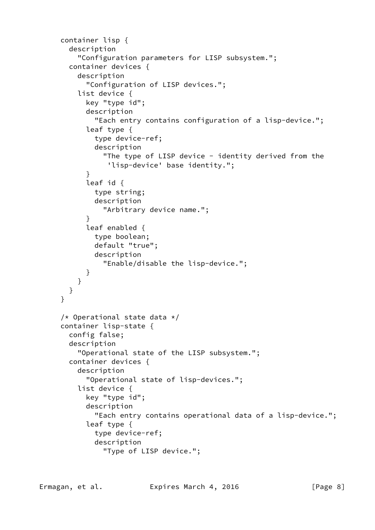```
 container lisp {
        description
          "Configuration parameters for LISP subsystem.";
        container devices {
          description
            "Configuration of LISP devices.";
          list device {
            key "type id";
            description
              "Each entry contains configuration of a lisp-device.";
            leaf type {
              type device-ref;
              description
               "The type of LISP device - identity derived from the
                 'lisp-device' base identity.";
 }
            leaf id {
              type string;
              description
                "Arbitrary device name.";
 }
            leaf enabled {
              type boolean;
              default "true";
              description
                "Enable/disable the lisp-device.";
            }
          }
       }
      }
     /* Operational state data */ container lisp-state {
        config false;
        description
          "Operational state of the LISP subsystem.";
        container devices {
          description
            "Operational state of lisp-devices.";
          list device {
            key "type id";
            description
              "Each entry contains operational data of a lisp-device.";
            leaf type {
              type device-ref;
              description
                "Type of LISP device.";
```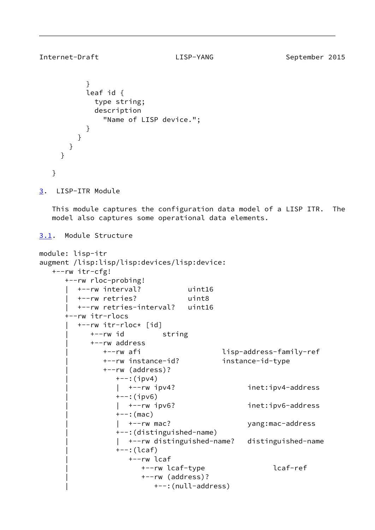```
Internet-Draft LISP-YANG September 2015
```

```
 }
           leaf id {
             type string;
             description
               "Name of LISP device.";
 }
         }
       }
     }
   }
3. LISP-ITR Module
   This module captures the configuration data model of a LISP ITR. The
   model also captures some operational data elements.
3.1. Module Structure
module: lisp-itr
augment /lisp:lisp/lisp:devices/lisp:device:
   +--rw itr-cfg!
      +--rw rloc-probing!
         | +--rw interval? uint16
         | +--rw retries? uint8
         | +--rw retries-interval? uint16
      +--rw itr-rlocs
         | +--rw itr-rloc* [id]
            | +--rw id string
            | +--rw address
               | +--rw afi lisp-address-family-ref
               | +--rw instance-id? instance-id-type
               | +--rw (address)?
                 +--:(ipv4)
                  | | +--rw ipv4? inet:ipv4-address
                 +--:(ipv6)
                   | | +--rw ipv6? inet:ipv6-address
                 +--: (mac)
                 | +--rw mac? yang:mac-address
                  | +--:(distinguished-name)
                   | | +--rw distinguished-name? distinguished-name
                  | +--:(lcaf)
                    | +--rw lcaf
                       | +--rw lcaf-type lcaf-ref
                       | +--rw (address)?
                          | +--:(null-address)
```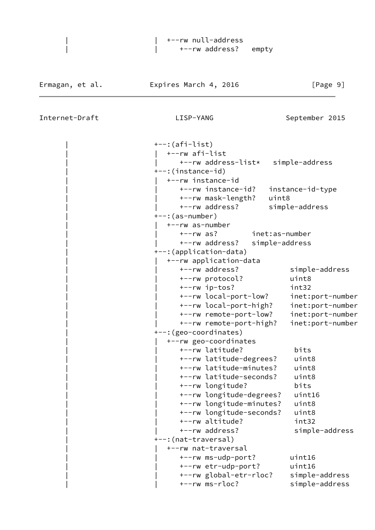| | +--rw null-address |  $|$  +--rw address? empty

| $+-:(afi-list)$         |                                    |                |                  |
|-------------------------|------------------------------------|----------------|------------------|
| +--rw afi-list          |                                    |                |                  |
|                         | +--rw address-list* simple-address |                |                  |
| +--:(instance-id)       |                                    |                |                  |
|                         | +--rw instance-id                  |                |                  |
|                         | +--rw instance-id?                 |                | instance-id-type |
|                         | +--rw mask-length?                 | uint8          |                  |
|                         | +--rw address?                     | simple-address |                  |
| $+-$ : (as-number)      |                                    |                |                  |
| +--rw as-number         |                                    |                |                  |
| $+--rw$ as?             |                                    | inet:as-number |                  |
|                         | +--rw address?                     | simple-address |                  |
| +--: (application-data) |                                    |                |                  |
|                         | +--rw application-data             |                |                  |
|                         | +--rw address?                     |                | simple-address   |
|                         | +--rw protocol?                    |                | uint8            |
|                         | +--rw ip-tos?                      |                | int32            |
|                         | +--rw local-port-low?              |                | inet:port-number |
|                         | +--rw local-port-high?             |                | inet:port-number |
|                         | +--rw remote-port-low?             |                | inet:port-number |
|                         | +--rw remote-port-high?            |                | inet:port-number |
| +--: (geo-coordinates)  |                                    |                |                  |
|                         | +--rw geo-coordinates              |                |                  |
|                         | +--rw latitude?                    |                | bits             |
|                         | +--rw latitude-degrees?            |                | uint8            |
|                         | +--rw latitude-minutes?            |                | uint8            |
|                         | +--rw latitude-seconds?            |                | uint8            |
|                         | +--rw longitude?                   |                | bits             |
|                         | +--rw longitude-degrees?           |                | uint16           |
|                         | +--rw longitude-minutes?           |                | uint8            |
|                         | +--rw longitude-seconds?           |                | uint8            |
|                         | +--rw altitude?                    |                | int32            |
|                         | +--rw address?                     |                | simple-address   |
| +--: (nat-traversal)    |                                    |                |                  |
|                         | +--rw nat-traversal                |                |                  |
|                         | +--rw ms-udp-port?                 |                | uint16           |
|                         | +--rw etr-udp-port?                |                | uint16           |
|                         | +--rw global-etr-rloc?             |                | simple-address   |
|                         | $+--rw$ ms- $rloc?$                |                | simple-address   |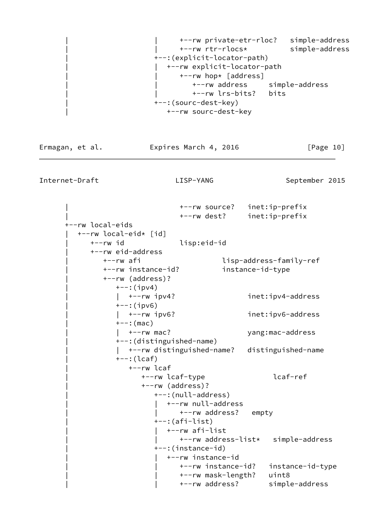```
 | | +--rw private-etr-rloc? simple-address
       | | +--rw rtr-rlocs* simple-address
 | +--:(explicit-locator-path)
    | | +--rw explicit-locator-path
       | | +--rw hop* [address]
           | | +--rw address simple-address
          | | +--rw lrs-bits? bits
 | +--:(sourc-dest-key)
    | +--rw sourc-dest-key
```
Ermagan, et al. 
Expires March 4, 2016  $[Page 10]$ 

Internet-Draft LISP-YANG September 2015

 | +--rw source? inet:ip-prefix | +--rw dest? inet:ip-prefix +--rw local-eids | +--rw local-eid\* [id] | +--rw id lisp:eid-id | +--rw eid-address | +--rw afi lisp-address-family-ref | +--rw instance-id? instance-id-type | +--rw (address)?  $+--:$ (ipv4) | | +--rw ipv4? inet:ipv4-address  $+--:$ (ipv6) | | +--rw ipv6? inet:ipv6-address  $+--:$  (mac) | | +--rw mac? yang:mac-address | +--:(distinguished-name) | | +--rw distinguished-name? distinguished-name | +--:(lcaf) | +--rw lcaf | +--rw lcaf-type lcaf-ref | +--rw (address)? | +--:(null-address) | +--rw null-address | | +--rw address? empty | +--:(afi-list) | | +--rw afi-list | | +--rw address-list\* simple-address | +--:(instance-id) | | +--rw instance-id | | +--rw instance-id? instance-id-type | | +--rw mask-length? uint8 | | +--rw address? simple-address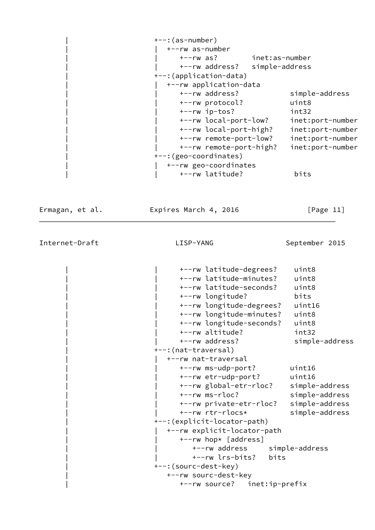| $+-$ : (as-number)      |                  |
|-------------------------|------------------|
| +--rw as-number         |                  |
| +--rw as?               | inet:as-number   |
| +--rw address?          | simple-address   |
| +--: (application-data) |                  |
| +--rw application-data  |                  |
| +--rw address?          | simple-address   |
| +--rw protocol?         | uint8            |
| $+--rw$ ip-tos?         | int32            |
| +--rw local-port-low?   | inet:port-number |
| +--rw local-port-high?  | inet:port-number |
| +--rw remote-port-low?  | inet:port-number |
| +--rw remote-port-high? | inet:port-number |
| +--: (geo-coordinates)  |                  |
| +--rw geo-coordinates   |                  |
| +--rw latitude?         | bits             |

Ermagan, et al. 
Expires March 4, 2016  $[Page 11]$ 

Internet-Draft LISP-YANG September 2015

 | | +--rw latitude-degrees? uint8 | | +--rw latitude-minutes? uint8 | | +--rw latitude-seconds? uint8 | | +--rw longitude? bits | | +--rw longitude-degrees? uint16 | | +--rw longitude-minutes? uint8 | | +--rw longitude-seconds? uint8 | | +--rw altitude? int32 +--rw address? simple-address | +--:(nat-traversal) | | +--rw nat-traversal | | +--rw ms-udp-port? uint16 | | +--rw etr-udp-port? uint16 | | +--rw global-etr-rloc? simple-address | | +--rw ms-rloc? simple-address | | +--rw private-etr-rloc? simple-address | | +--rw rtr-rlocs\* simple-address | +--:(explicit-locator-path) | | +--rw explicit-locator-path | | +--rw hop\* [address] | | +--rw address simple-address | | +--rw lrs-bits? bits | +--:(sourc-dest-key) | +--rw sourc-dest-key | +--rw source? inet:ip-prefix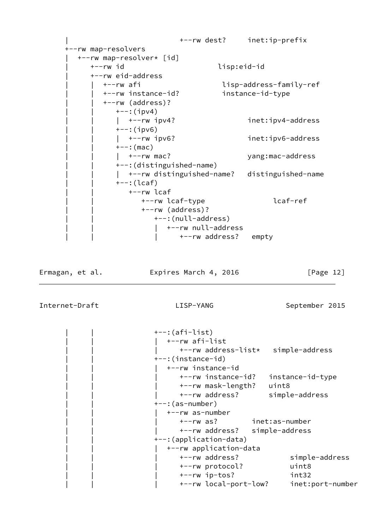```
 | +--rw dest? inet:ip-prefix
 +--rw map-resolvers
   | +--rw map-resolver* [id]
      | +--rw id lisp:eid-id
      | +--rw eid-address
         | | +--rw afi lisp-address-family-ref
         | | +--rw instance-id? instance-id-type
         | | +--rw (address)?
          +--:(ipv4)
          | +-rw ipv4? inet:ipv4-address
          +--:(ipv6)
          | +-rw ipv6? inet:ipv6-address
          +--: (mac)
          | +--rw mac? yang:mac-address
           | | +--:(distinguished-name)
          | +--rw distinguished-name? distinguished-name
          +--: (lcaf) | | +--rw lcaf
                 | | +--rw lcaf-type lcaf-ref
                 | | +--rw (address)?
                  +--:(null-address)
                     | | | +--rw null-address
                        | | | +--rw address? empty
```
Ermagan, et al. Expires March 4, 2016 [Page 12]

```
+--: (afi-list)
    | | | +--rw afi-list
       | | | +--rw address-list* simple-address
 | | +--:(instance-id)
    | | | +--rw instance-id
       | | | +--rw instance-id? instance-id-type
       | | | +--rw mask-length? uint8
       | | | +--rw address? simple-address
---: (as-number) | | | +--rw as-number
       | | | +--rw as? inet:as-number
       | | | +--rw address? simple-address
 | | +--:(application-data)
    | | | +--rw application-data
       | | | +--rw address? simple-address
       | | | +--rw protocol? uint8
       | | | +--rw ip-tos? int32
       | | | +--rw local-port-low? inet:port-number
```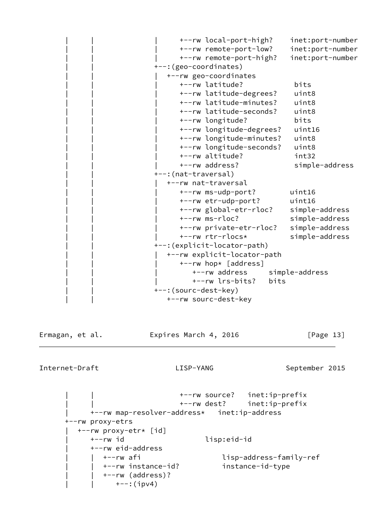```
 | | | +--rw local-port-high? inet:port-number
       | | | +--rw remote-port-low? inet:port-number
       | | | +--rw remote-port-high? inet:port-number
 | | +--:(geo-coordinates)
    | | | +--rw geo-coordinates
       | | | +--rw latitude? bits
       | | | +--rw latitude-degrees? uint8
       | | | +--rw latitude-minutes? uint8
       | | | +--rw latitude-seconds? uint8
       | | | +--rw longitude? bits
       | | | +--rw longitude-degrees? uint16
       | | | +--rw longitude-minutes? uint8
       | | | +--rw longitude-seconds? uint8
       | | | +--rw altitude? int32
      +--rw address? simple-address
+--: (nat-traversal)
    | | | +--rw nat-traversal
       | | | +--rw ms-udp-port? uint16
       | | | +--rw etr-udp-port? uint16
       | | | +--rw global-etr-rloc? simple-address
       | | | +--rw ms-rloc? simple-address
       | | | +--rw private-etr-rloc? simple-address
       | | | +--rw rtr-rlocs* simple-address
 | | +--:(explicit-locator-path)
    | | | +--rw explicit-locator-path
      +--rw hop* [address]
          | | | +--rw address simple-address
          | | | +--rw lrs-bits? bits
 | | +--:(sourc-dest-key)
   +--rw sourc-dest-key
```
Ermagan, et al. **Expires March 4, 2016** [Page 13]

Internet-Draft LISP-YANG September 2015

 | | +--rw source? inet:ip-prefix | | +--rw dest? inet:ip-prefix | +--rw map-resolver-address\* inet:ip-address +--rw proxy-etrs | +--rw proxy-etr\* [id] | +--rw id lisp:eid-id | +--rw eid-address | | +--rw afi lisp-address-family-ref | | +--rw instance-id? instance-id-type | | +--rw (address)?  $+--:$ (ipv4)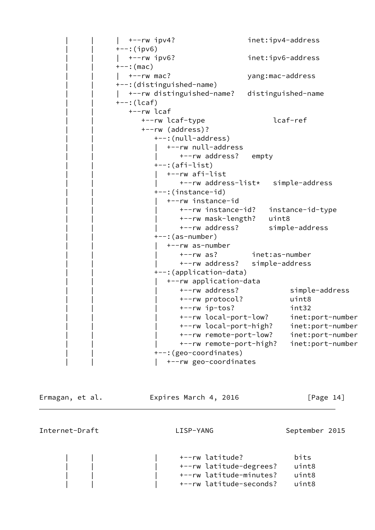```
| +-rw ipv4? inet:ipv4-address
                 +--:(ipv6)
                 | +-rw ipv6? inet:ipv6-address
                 +--: (mac)
                 | +-rw mac? yang:mac-address
                  | | +--:(distinguished-name)
                 | +--rw distinguished-name? distinguished-name
                 +--: (lcaf) | | +--rw lcaf
                       | | +--rw lcaf-type lcaf-ref
                       | | +--rw (address)?
                         +--:(null-address)
                           | | | +--rw null-address
                               +--rw address? empty
                         +-: (afi-list)
                         | +--rw afi-list
                                | | | +--rw address-list* simple-address
                          | | +--:(instance-id)
                            | | | +--rw instance-id
                                | | | +--rw instance-id? instance-id-type
                                | | | +--rw mask-length? uint8
                                | | | +--rw address? simple-address
                         ---: (as-number) | | | +--rw as-number
                                | | | +--rw as? inet:as-number
                                | | | +--rw address? simple-address
                          | | +--:(application-data)
                             | | | +--rw application-data
                                | | | +--rw address? simple-address
                                | | | +--rw protocol? uint8
                                | | | +--rw ip-tos? int32
                                | | | +--rw local-port-low? inet:port-number
 | | | +--rw local-port-high? inet:port-number
 | | | +--rw remote-port-low? inet:port-number
                                | | | +--rw remote-port-high? inet:port-number
                          | | +--:(geo-coordinates)
                         | +--rw geo-coordinates
```
Ermagan, et al. **Expires March 4, 2016** [Page 14]

|  |  | +--rw latitude?         | bits  |
|--|--|-------------------------|-------|
|  |  | +--rw latitude-degrees? | uint8 |
|  |  | +--rw latitude-minutes? | uint8 |
|  |  | +--rw latitude-seconds? | uint8 |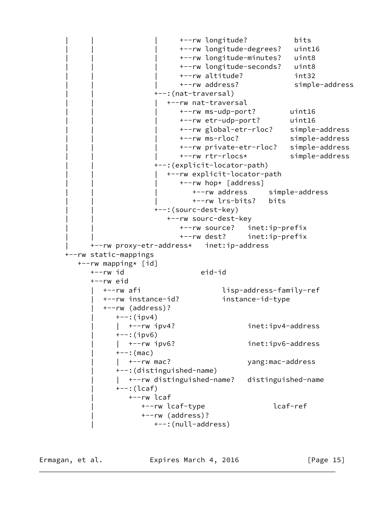```
 | | | +--rw longitude? bits
                           | | | +--rw longitude-degrees? uint16
                           | | | +--rw longitude-minutes? uint8
                           | | | +--rw longitude-seconds? uint8
                           | | | +--rw altitude? int32
                           | | | +--rw address? simple-address
                     +--: (nat-traversal)
                        | | | +--rw nat-traversal
                           | | | +--rw ms-udp-port? uint16
                           | | | +--rw etr-udp-port? uint16
                           | | | +--rw global-etr-rloc? simple-address
                           | | | +--rw ms-rloc? simple-address
                           | | | +--rw private-etr-rloc? simple-address
                           | | | +--rw rtr-rlocs* simple-address
                     | | +--:(explicit-locator-path)
                        | | | +--rw explicit-locator-path
                          +--rw hop* [address]
                              | | | +--rw address simple-address
                              | | | +--rw lrs-bits? bits
                    +--: (sourc-dest-key)
                        | | +--rw sourc-dest-key
                           | | +--rw source? inet:ip-prefix
                           | | +--rw dest? inet:ip-prefix
      | +--rw proxy-etr-address* inet:ip-address
 +--rw static-mappings
   +--rw mapping* [id]
      +--rw id eid-id
      +--rw eid
         | +--rw afi lisp-address-family-ref
         | +--rw instance-id? instance-id-type
         | +--rw (address)?
           +--:(ipv4)
             | | +--rw ipv4? inet:ipv4-address
           +--:(ipv6)
             | | +--rw ipv6? inet:ipv6-address
           +--: (mac)
            | +--rw mac? yang:mac-address
            | +--:(distinguished-name)
             | | +--rw distinguished-name? distinguished-name
            | +--:(lcaf)
               | +--rw lcaf
                  | +--rw lcaf-type lcaf-ref
                  | +--rw (address)?
                     | +--:(null-address)
```
Ermagan, et al. **Expires March 4, 2016** [Page 15]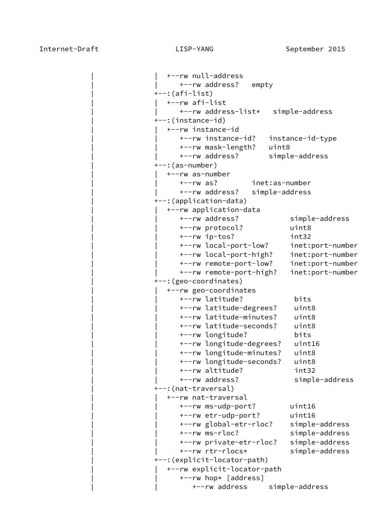```
 | | +--rw null-address
       | | +--rw address? empty
+--: (afi-list) | | +--rw afi-list
       | | +--rw address-list* simple-address
 | +--:(instance-id)
    | | +--rw instance-id
       | | +--rw instance-id? instance-id-type
       | | +--rw mask-length? uint8
       | | +--rw address? simple-address
---: (as-number)
    | | +--rw as-number
       | | +--rw as? inet:as-number
       | | +--rw address? simple-address
 | +--:(application-data)
    | | +--rw application-data
       | | +--rw address? simple-address
       | | +--rw protocol? uint8
       | | +--rw ip-tos? int32
       | | +--rw local-port-low? inet:port-number
       | | +--rw local-port-high? inet:port-number
       | | +--rw remote-port-low? inet:port-number
       | | +--rw remote-port-high? inet:port-number
 | +--:(geo-coordinates)
    | | +--rw geo-coordinates
       | | +--rw latitude? bits
       | | +--rw latitude-degrees? uint8
       | | +--rw latitude-minutes? uint8
       | | +--rw latitude-seconds? uint8
       | | +--rw longitude? bits
       | | +--rw longitude-degrees? uint16
       | | +--rw longitude-minutes? uint8
       | | +--rw longitude-seconds? uint8
       | | +--rw altitude? int32
       | | +--rw address? simple-address
 | +--:(nat-traversal)
    | | +--rw nat-traversal
       | | +--rw ms-udp-port? uint16
       | | +--rw etr-udp-port? uint16
       | | +--rw global-etr-rloc? simple-address
       | | +--rw ms-rloc? simple-address
       | | +--rw private-etr-rloc? simple-address
       | | +--rw rtr-rlocs* simple-address
 | +--:(explicit-locator-path)
    | | +--rw explicit-locator-path
      +--rw hop* [address]
          | | +--rw address simple-address
```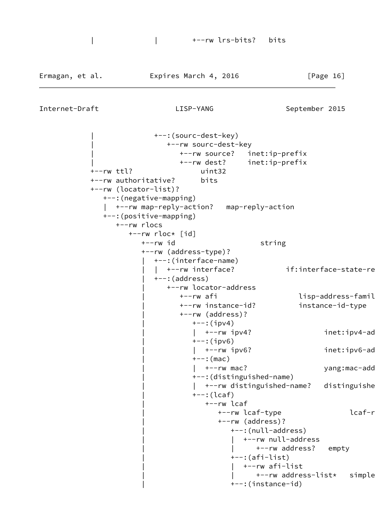```
 | +--:(sourc-dest-key)
                 | +--rw sourc-dest-key
                    | +--rw source? inet:ip-prefix
                    | +--rw dest? inet:ip-prefix
 +--rw ttl? uint32
 +--rw authoritative? bits
 +--rw (locator-list)?
   +--:(negative-mapping)
     | +--rw map-reply-action? map-reply-action
   +--:(positive-mapping)
      +--rw rlocs
         +--rw rloc* [id]
           +--rw id string
            +--rw (address-type)?
               | +--:(interface-name)
              | +--rw interface? if:interface-state-re
              +--: (address)
                  | +--rw locator-address
                   +--rw afi lisp-address-famil+
                    | +--rw instance-id? instance-id-type
                    | +--rw (address)?
                      +--:(ipv4)
                      | +--rw ipv4? inet:ipv4-ad
                      +--:(ipv6)
                      | +--rw ipv6? inet:ipv6-ad
                      +--: (mac)
                      | +--rw mac? yang:mac-add
                       | +--:(distinguished-name)
                      | +--rw distinguished-name? distinguishe
                       | +--:(lcaf)
                          | +--rw lcaf
                            +--rw lcaf-type lcaf-r
                             | +--rw (address)?
                                | +--:(null-address)
                                  | | +--rw null-address
                                     | | +--rw address? empty
                                | +--:(afi-list)
                                  | | +--rw afi-list
                                    +--rw address-list* simple
                                | +--:(instance-id)
```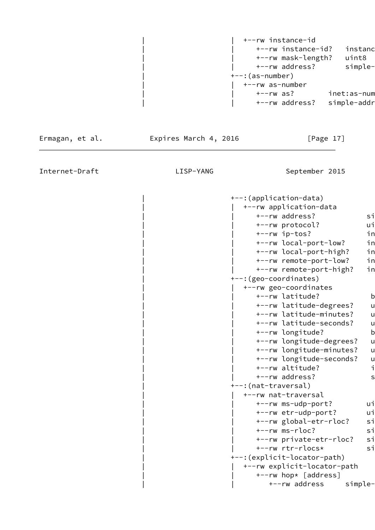| | +--rw instance-id +--rw instance-id? instanc | | +--rw mask-length? uint8 +--rw address? simple- | +--:(as-number) | | +--rw as-number +--rw as? inet:as-num +--rw address? simple-addr

Ermagan, et al. **Expires March 4, 2016** [Page 17]

Internet-Draft **LISP-YANG** LISP-YANG September 2015

 | +--:(application-data) | | +--rw application-data +--rw address? simple-+--rw protocol? ui +--rw ip-tos? in +--rw local-port-low? in +--rw local-port-high? in +--rw remote-port-low? in +--rw remote-port-high? in | +--:(geo-coordinates) | | +--rw geo-coordinates +--rw latitude? b +--rw latitude-degrees? u +--rw latitude-minutes? u +--rw latitude-seconds? u +--rw longitude? b +--rw longitude-degrees? u +--rw longitude-minutes? u +--rw longitude-seconds? u +--rw altitude? intactional intervals +--rw address? simple- | +--:(nat-traversal) | | +--rw nat-traversal +--rw ms-udp-port? ui +--rw etr-udp-port? ui +--rw global-etr-rloc? si +--rw ms-rloc? si +--rw private-etr-rloc? sim +--rw rtr-rlocs\* simples-address | +--:(explicit-locator-path) | | +--rw explicit-locator-path +--rw hop\* [address]

+--rw address simple-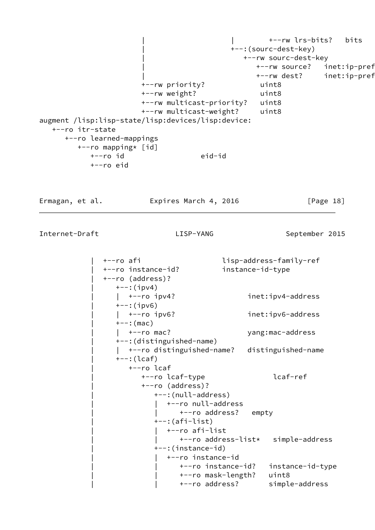| | +--rw lrs-bits? bits | +--:(sourc-dest-key) | +--rw sourc-dest-key +--rw source? inet:ip-pref +--rw dest? inet:ip-pref +--rw priority? uint8 +--rw weight? uint8 +--rw multicast-priority? uint8 +--rw multicast-weight? uint8 augment /lisp:lisp-state/lisp:devices/lisp:device: +--ro itr-state +--ro learned-mappings +--ro mapping\* [id] +--ro id eid-id +--ro eid Ermagan, et al. **Expires March 4, 2016** [Page 18] Internet-Draft LISP-YANG September 2015 | +--ro afi lisp-address-family-ref | +--ro instance-id? instance-id-type | +--ro (address)?  $+--:$ (ipv4) | | +--ro ipv4? inet:ipv4-address  $+--:$ (ipv6) | | +--ro ipv6? inet:ipv6-address  $+--:$  (mac) | | +--ro mac? yang:mac-address | +--:(distinguished-name) | | +--ro distinguished-name? distinguished-name | +--:(lcaf) | +--ro lcaf | +--ro lcaf-type lcaf-ref | +--ro (address)? | +--:(null-address) | +--ro null-address +--ro address? empty | +--:(afi-list) | | +--ro afi-list | | +--ro address-list\* simple-address | +--:(instance-id)

> | | +--ro instance-id | | +--ro instance-id? instance-id-type | | +--ro mask-length? uint8 | | +--ro address? simple-address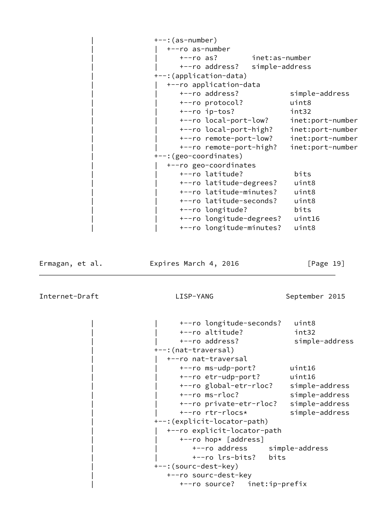```
+--: (as-number)
    | | +--ro as-number
       | | +--ro as? inet:as-number
       | | +--ro address? simple-address
 | +--:(application-data)
    | | +--ro application-data
       | | +--ro address? simple-address
       | | +--ro protocol? uint8
       | | +--ro ip-tos? int32
       | | +--ro local-port-low? inet:port-number
       | | +--ro local-port-high? inet:port-number
       | | +--ro remote-port-low? inet:port-number
       | | +--ro remote-port-high? inet:port-number
 | +--:(geo-coordinates)
    | | +--ro geo-coordinates
       | | +--ro latitude? bits
       | | +--ro latitude-degrees? uint8
       | | +--ro latitude-minutes? uint8
       | | +--ro latitude-seconds? uint8
       | | +--ro longitude? bits
       | | +--ro longitude-degrees? uint16
       | | +--ro longitude-minutes? uint8
```
Ermagan, et al. **Expires March 4, 2016** [Page 19]

Internet-Draft LISP-YANG September 2015

 | | +--ro longitude-seconds? uint8 | | +--ro altitude? int32 | | +--ro address? simple-address | +--:(nat-traversal) | | +--ro nat-traversal | | +--ro ms-udp-port? uint16 | | +--ro etr-udp-port? uint16 | | +--ro global-etr-rloc? simple-address | | +--ro ms-rloc? simple-address | | +--ro private-etr-rloc? simple-address | | +--ro rtr-rlocs\* simple-address | +--:(explicit-locator-path) | | +--ro explicit-locator-path | | +--ro hop\* [address] | | +--ro address simple-address | | +--ro lrs-bits? bits | +--:(sourc-dest-key) | +--ro sourc-dest-key | +--ro source? inet:ip-prefix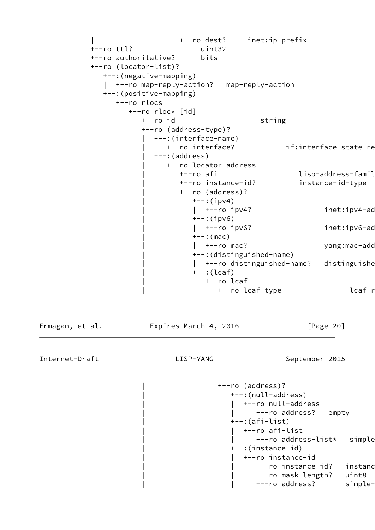```
 | +--ro dest? inet:ip-prefix
 +--ro ttl? uint32
 +--ro authoritative? bits
 +--ro (locator-list)?
   +--:(negative-mapping)
   | +--ro map-reply-action? map-reply-action
   +--:(positive-mapping)
      +--ro rlocs
        +--ro rloc* [id]
          +--ro id string
           +--ro (address-type)?
              | +--:(interface-name)
             | +--ro interface? if:interface-state-re
              | +--:(address)
                | +--ro locator-address
                  +--ro afi lisp-address-famil+
                   | +--ro instance-id? instance-id-type
                   | +--ro (address)?
                    +--:(ipv4)
                    | +--ro ipv4? inet:ipv4-ad
                    +--:(ipv6)
                    | +--ro ipv6? inet:ipv6-ad
                    +--: (mac)
                    | +--ro mac? yang:mac-add
                     | +--:(distinguished-name)
                     | +--ro distinguished-name? distinguishe
                    ---: (lcaf) | +--ro lcaf
                          +--ro lcaf-type lcaf-r
```
Ermagan, et al. **Expires March 4, 2016** [Page 20]

```
 | +--ro (address)?
    | +--:(null-address)
   | +--ro null-address
         +--ro address? empty
    | +--:(afi-list)
   | +--ro afi-list
         +--ro address-list* simple
    | +--:(instance-id)
    | | +--ro instance-id
         +--ro instance-id? instanc
          | | +--ro mask-length? uint8
         +--ro address? simple-
```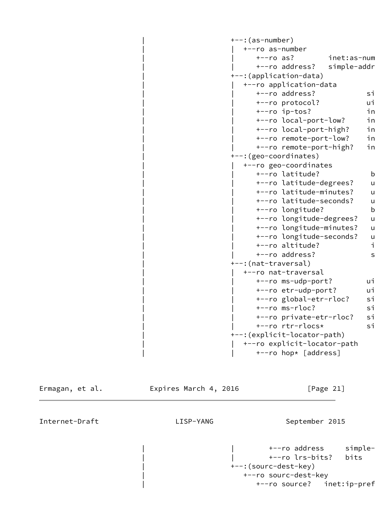| $+--$ : (as-number)           |              |
|-------------------------------|--------------|
| +--ro as-number               |              |
| $+--ro$ as?<br>inet:as-num    |              |
| +--ro address?<br>simple-addr |              |
| +--: (application-data)       |              |
| +--ro application-data        |              |
| +--ro address?                | si           |
| +--ro protocol?               | ui           |
| +--ro ip-tos?                 | in           |
| +--ro local-port-low?         | in           |
| +--ro local-port-high?        | in           |
| +--ro remote-port-low?        | in           |
| +--ro remote-port-high?       | in           |
| +--: (geo-coordinates)        |              |
| +--ro geo-coordinates         |              |
| +--ro latitude?               | $\mathsf{b}$ |
| +--ro latitude-degrees?       | u            |
| +--ro latitude-minutes?       | u            |
| +--ro latitude-seconds?       | u            |
| +--ro longitude?              | $\mathsf b$  |
| +--ro longitude-degrees?      | u            |
| +--ro longitude-minutes?      | u            |
| +--ro longitude-seconds?      | u            |
| +--ro altitude?               | i            |
| +--ro address?                | s            |
| +--:(nat-traversal)           |              |
| +--ro nat-traversal           |              |
| +--ro ms-udp-port?            | ui           |
| +--ro etr-udp-port?           | ui           |
| +--ro global-etr-rloc?        | si           |
| +--ro ms-rloc?                | si           |
| +--ro private-etr-rloc?       | si           |
| +--ro rtr-rlocs*              | si           |
| +--: (explicit-locator-path)  |              |
| +--ro explicit-locator-path   |              |
| +--ro hop* [address]          |              |

Ermagan, et al. **Expires March 4, 2016** [Page 21] Internet-Draft LISP-YANG September 2015 | +--ro address simple- | | +--ro lrs-bits? bits | +--:(sourc-dest-key) +--ro sourc-dest-key +--ro source? inet:ip-pref

<span id="page-23-0"></span>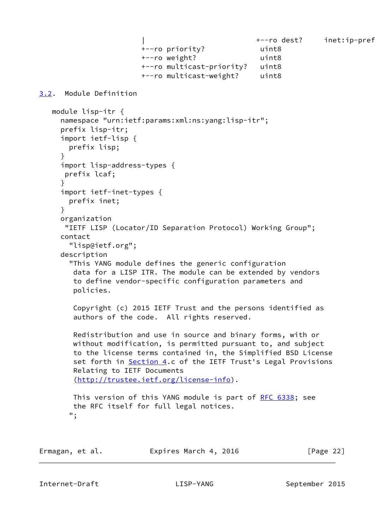```
| t--ro dest? inet:ip-prefixed:
                       +--ro priority? uint8
                       +--ro weight? uint8
                       +--ro multicast-priority? uint8
                       +--ro multicast-weight? uint8
3.2. Module Definition
   module lisp-itr {
     namespace "urn:ietf:params:xml:ns:yang:lisp-itr";
     prefix lisp-itr;
     import ietf-lisp {
       prefix lisp;
     }
     import lisp-address-types {
      prefix lcaf;
     }
     import ietf-inet-types {
       prefix inet;
     }
     organization
      "IETF LISP (Locator/ID Separation Protocol) Working Group";
     contact
       "lisp@ietf.org";
     description
       "This YANG module defines the generic configuration
        data for a LISP ITR. The module can be extended by vendors
        to define vendor-specific configuration parameters and
        policies.
        Copyright (c) 2015 IETF Trust and the persons identified as
        authors of the code. All rights reserved.
        Redistribution and use in source and binary forms, with or
        without modification, is permitted pursuant to, and subject
        to the license terms contained in, the Simplified BSD License
        Section 4.c of the IETF Trust's Legal Provisions
        Relating to IETF Documents
        (http://trustee.ietf.org/license-info).
        RFC 6338; see
        the RFC itself for full legal notices.
       ";
```

| Ermagan, et al. |  |  | Expires March 4, 2016 |  |  |  |
|-----------------|--|--|-----------------------|--|--|--|
|-----------------|--|--|-----------------------|--|--|--|

 $[Page 22]$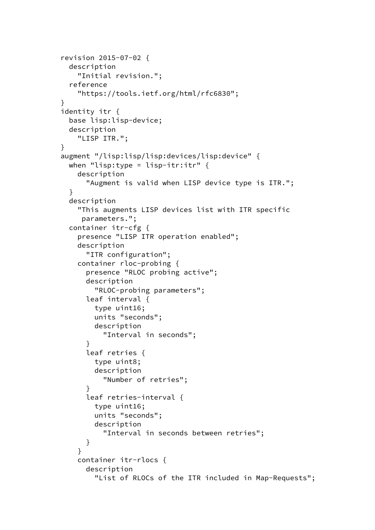```
 revision 2015-07-02 {
        description
          "Initial revision.";
        reference
          "https://tools.ietf.org/html/rfc6830";
      }
      identity itr {
        base lisp:lisp-device;
        description
          "LISP ITR.";
      }
      augment "/lisp:lisp/lisp:devices/lisp:device" {
       when "lisp:type = lisp-itr:itr" {
          description
            "Augment is valid when LISP device type is ITR.";
        }
        description
          "This augments LISP devices list with ITR specific
           parameters.";
        container itr-cfg {
          presence "LISP ITR operation enabled";
          description
            "ITR configuration";
          container rloc-probing {
            presence "RLOC probing active";
            description
              "RLOC-probing parameters";
            leaf interval {
              type uint16;
              units "seconds";
              description
                "Interval in seconds";
 }
            leaf retries {
              type uint8;
              description
                "Number of retries";
 }
            leaf retries-interval {
              type uint16;
              units "seconds";
              description
                "Interval in seconds between retries";
 }
          }
          container itr-rlocs {
            description
              "List of RLOCs of the ITR included in Map-Requests";
```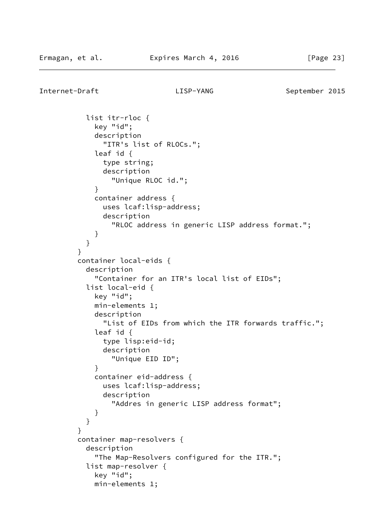Internet-Draft LISP-YANG September 2015

 list itr-rloc { key "id"; description "ITR's list of RLOCs."; leaf id { type string; description "Unique RLOC id."; } container address { uses lcaf:lisp-address; description "RLOC address in generic LISP address format."; } } } container local-eids { description "Container for an ITR's local list of EIDs"; list local-eid { key "id"; min-elements 1; description "List of EIDs from which the ITR forwards traffic."; leaf id { type lisp:eid-id; description "Unique EID ID"; } container eid-address { uses lcaf:lisp-address; description "Addres in generic LISP address format"; } } } container map-resolvers { description "The Map-Resolvers configured for the ITR."; list map-resolver { key "id"; min-elements 1;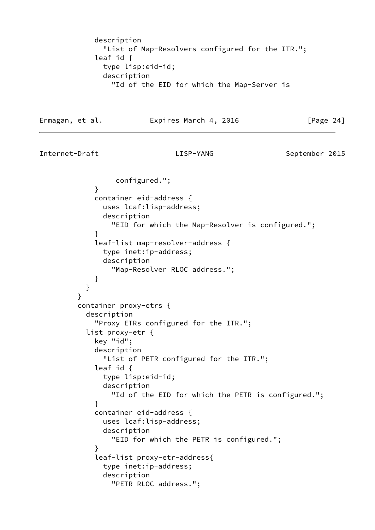```
 description
              "List of Map-Resolvers configured for the ITR.";
            leaf id {
              type lisp:eid-id;
              description
                "Id of the EID for which the Map-Server is
Ermagan, et al. Expires March 4, 2016 [Page 24]
Internet-Draft LISP-YANG September 2015
                 configured.";
 }
            container eid-address {
              uses lcaf:lisp-address;
              description
                "EID for which the Map-Resolver is configured.";
 }
            leaf-list map-resolver-address {
              type inet:ip-address;
              description
                "Map-Resolver RLOC address.";
 }
 }
 }
         container proxy-etrs {
           description
             "Proxy ETRs configured for the ITR.";
           list proxy-etr {
            key "id";
            description
              "List of PETR configured for the ITR.";
            leaf id {
              type lisp:eid-id;
              description
                "Id of the EID for which the PETR is configured.";
 }
            container eid-address {
              uses lcaf:lisp-address;
              description
                "EID for which the PETR is configured.";
 }
             leaf-list proxy-etr-address{
```

```
 description
   "PETR RLOC address.";
```
type inet:ip-address;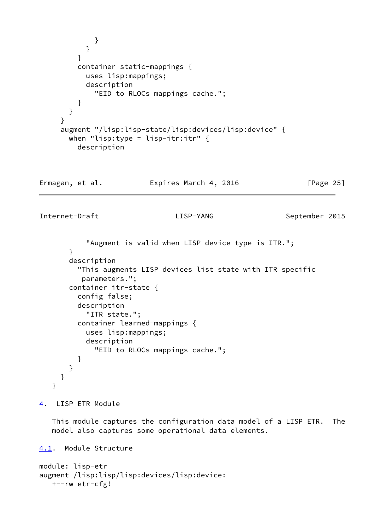```
 }
 }
         }
         container static-mappings {
           uses lisp:mappings;
           description
             "EID to RLOCs mappings cache.";
         }
       }
     }
     augment "/lisp:lisp-state/lisp:devices/lisp:device" {
      when "lisp:type = lisp-itr:itr" \{ description
Ermagan, et al. Expires March 4, 2016 [Page 25]
Internet-Draft LISP-YANG September 2015
           "Augment is valid when LISP device type is ITR.";
       }
       description
         "This augments LISP devices list state with ITR specific
          parameters.";
       container itr-state {
         config false;
         description
           "ITR state.";
         container learned-mappings {
           uses lisp:mappings;
           description
             "EID to RLOCs mappings cache.";
         }
       }
     }
   }
4. LISP ETR Module
   This module captures the configuration data model of a LISP ETR. The
   model also captures some operational data elements.
4.1. Module Structure
```

```
module: lisp-etr
augment /lisp:lisp/lisp:devices/lisp:device:
    +--rw etr-cfg!
```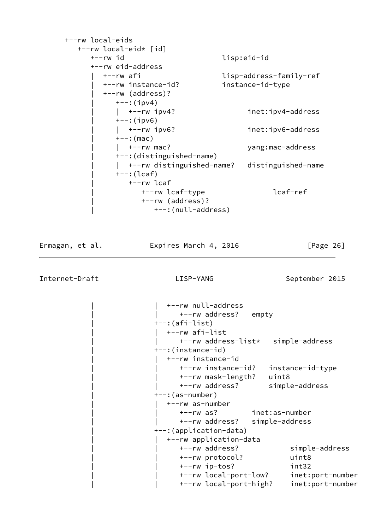| +--rw local-eids          |                                              |
|---------------------------|----------------------------------------------|
| +--rw local-eid* [id]     |                                              |
| +--rw id                  | lisp:eid-id                                  |
| +--rw eid-address         |                                              |
| +--rw afi                 | lisp-address-family-ref                      |
| +--rw instance-id?        | instance-id-type                             |
| +--rw (address)?          |                                              |
| $+--$ : (ipv4)            |                                              |
| $\vert$ +--rw ipv4?       | inet:ipv4-address                            |
| $+--: (ipv6)$             |                                              |
| $\vert$ +--rw ipv6?       | inet:ipv6-address                            |
| $+--:$ (mac)              |                                              |
| $+--rw$ mac?              | yang:mac-address                             |
| +--: (distinguished-name) |                                              |
|                           | +--rw distinguished-name? distinguished-name |
| $+--$ : (lcaf)            |                                              |
| +--rw lcaf                |                                              |
| +--rw lcaf-type           | lcaf-ref                                     |
| +--rw (address)?          |                                              |
| +--: (null-address)       |                                              |

Ermagan, et al. **Expires March 4, 2016** [Page 26]

 $\overline{a}$ 

Internet-Draft LISP-YANG LISP-YANG September 2015

| +--rw null-address                  |                  |
|-------------------------------------|------------------|
| +--rw address? empty                |                  |
| $+--$ : (afi-list)                  |                  |
| +--rw afi-list                      |                  |
| +--rw address-list* simple-address  |                  |
| +--:(instance-id)                   |                  |
| +--rw instance-id                   |                  |
| +--rw instance-id? instance-id-type |                  |
| +--rw mask-length? uint8            |                  |
| +--rw address? simple-address       |                  |
| +--:(as-number)                     |                  |
| +--rw as-number                     |                  |
| +--rw as? inet:as-number            |                  |
| +--rw address? simple-address       |                  |
| +--: (application-data)             |                  |
| +--rw application-data              |                  |
| +--rw address?                      | simple-address   |
| +--rw protocol?                     | uint8            |
| +--rw ip-tos?                       | int32            |
| +--rw local-port-low?               | inet:port-number |
| +--rw local-port-high?              | inet:port-number |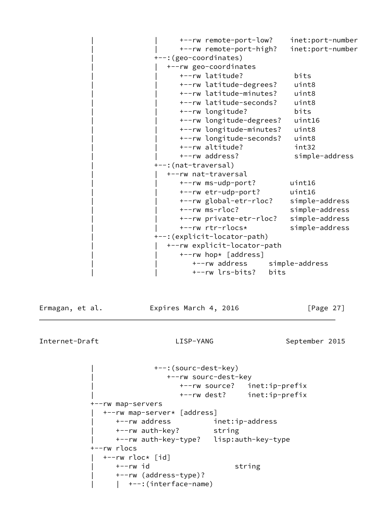| +--rw remote-port-low?       |      | inet:port-number |
|------------------------------|------|------------------|
|                              |      | inet:port-number |
| +--rw remote-port-high?      |      |                  |
| +--: (geo-coordinates)       |      |                  |
| +--rw geo-coordinates        |      |                  |
| +--rw latitude?              |      | bits             |
| +--rw latitude-degrees?      |      | uint8            |
| +--rw latitude-minutes?      |      | uint8            |
| +--rw latitude-seconds?      |      | uint8            |
| +--rw longitude?             |      | bits             |
| +--rw longitude-degrees?     |      | uint16           |
| +--rw longitude-minutes?     |      | uint8            |
| +--rw longitude-seconds?     |      | uint8            |
| +--rw altitude?              |      | int32            |
| +--rw address?               |      | simple-address   |
| +--: (nat-traversal)         |      |                  |
| +--rw nat-traversal          |      |                  |
| +--rw ms-udp-port?           |      | uint16           |
| +--rw etr-udp-port?          |      | uint16           |
| +--rw global-etr-rloc?       |      | simple-address   |
| $+--rw$ ms-rloc?             |      | simple-address   |
| +--rw private-etr-rloc?      |      | simple-address   |
| +--rw rtr-rlocs*             |      | simple-address   |
|                              |      |                  |
| +--: (explicit-locator-path) |      |                  |
| +--rw explicit-locator-path  |      |                  |
| +--rw hop* [address]         |      |                  |
| +--rw address                |      | simple-address   |
| +--rw lrs-bits?              | bits |                  |

Ermagan, et al. **Expires March 4, 2016** [Page 27]

Internet-Draft LISP-YANG September 2015

 | +--:(sourc-dest-key) | +--rw sourc-dest-key | +--rw source? inet:ip-prefix | +--rw dest? inet:ip-prefix +--rw map-servers | +--rw map-server\* [address] | +--rw address inet:ip-address | +--rw auth-key? string | +--rw auth-key-type? lisp:auth-key-type +--rw rlocs  $+--rw$  rloc $*$  [id] +--rw id string | +--rw (address-type)? | | +--:(interface-name)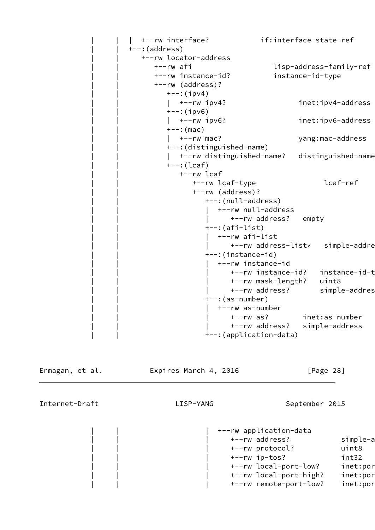```
 | | | +--rw interface? if:interface-state-ref
---:(address)
   | | +--rw locator-address
      | | +--rw afi lisp-address-family-ref
      | | +--rw instance-id? instance-id-type
      | | +--rw (address)?
        +--:(ipv4)
         | +-rw ipv4? inet:ipv4-address
        +--:(ipv6)
         | +-rw ipv6? inet:ipv6-address
        +--: (mac)
         | +--rw mac? yang:mac-address
         | | +--:(distinguished-name)
         | +--rw distinguished-name? distinguished-name
        +--: (lcaf) | | +--rw lcaf
               | | +--rw lcaf-type lcaf-ref
               | | +--rw (address)?
                 +--:(null-address)
                  | +--rw null-address
                        | | | +--rw address? empty
                 +-: (afi-list)
                    | | | +--rw afi-list
                       +--rw address-list* simple-addre
                  | | +--:(instance-id)
                  | +--rw instance-id
                        | | | +--rw instance-id? instance-id-type
                        | | | +--rw mask-length? uint8
                       +--rw address? simple-addres
                 ---: (as-number) | | | +--rw as-number
                        | | | +--rw as? inet:as-number
                        | | | +--rw address? simple-address
                  | | +--:(application-data)
```
Ermagan, et al. Expires March 4, 2016 [Page 28]

Internet-Draft LISP-YANG September 2015

 | | | +--rw application-data +--rw address? simple-a | | | +--rw protocol? uint8 | | | +--rw ip-tos? int32 +--rw local-port-low? inet:por +--rw local-port-high? inet:por +--rw remote-port-low? inet:port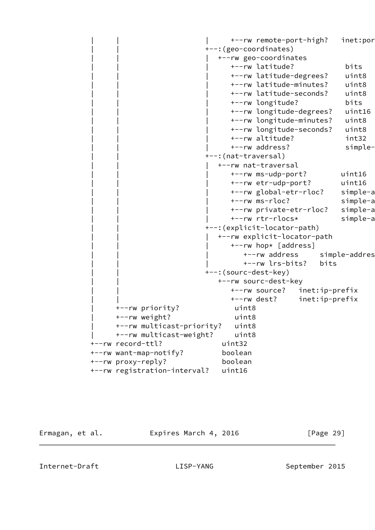+--rw remote-port-high? inet:port | | +--:(geo-coordinates) | | | +--rw geo-coordinates | | | +--rw latitude? bits | | | +--rw latitude-degrees? uint8 | | | +--rw latitude-minutes? uint8 | | | +--rw latitude-seconds? uint8 | | | +--rw longitude? bits | | | +--rw longitude-degrees? uint16 | | | +--rw longitude-minutes? uint8 | | | +--rw longitude-seconds? uint8 | | | +--rw altitude? int32 +--rw address? simple-+--: (nat-traversal) | | | +--rw nat-traversal | | | +--rw ms-udp-port? uint16 | | | +--rw etr-udp-port? uint16 +--rw global-etr-rloc? simple-a +--rw ms-rloc? simple-a +--rw private-etr-rloc? simple-a +--rw rtr-rlocs\* simple-a | | +--:(explicit-locator-path) | | | +--rw explicit-locator-path +--rw hop\* [address] +--rw address simple-addres | | | +--rw lrs-bits? bits +--: (sourc-dest-key) +--rw sourc-dest-key | | +--rw source? inet:ip-prefix | | +--rw dest? inet:ip-prefix | +--rw priority? uint8 | +--rw weight? uint8 | +--rw multicast-priority? uint8 | +--rw multicast-weight? uint8 +--rw record-ttl? uint32 +--rw want-map-notify? boolean +--rw proxy-reply? boolean +--rw registration-interval? uint16

Ermagan, et al. **Expires March 4, 2016** [Page 29]

<span id="page-32-0"></span>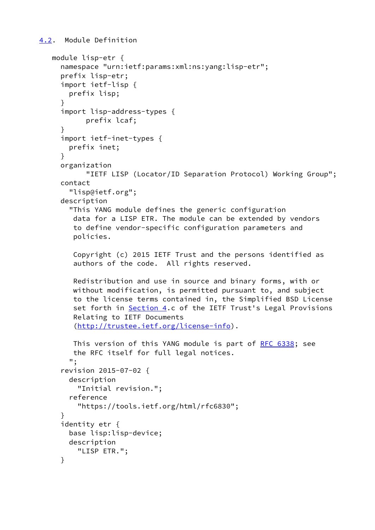```
4.2. Module Definition
```

```
 module lisp-etr {
   namespace "urn:ietf:params:xml:ns:yang:lisp-etr";
   prefix lisp-etr;
   import ietf-lisp {
     prefix lisp;
   }
   import lisp-address-types {
         prefix lcaf;
   }
   import ietf-inet-types {
     prefix inet;
   }
   organization
         "IETF LISP (Locator/ID Separation Protocol) Working Group";
   contact
     "lisp@ietf.org";
   description
     "This YANG module defines the generic configuration
      data for a LISP ETR. The module can be extended by vendors
      to define vendor-specific configuration parameters and
      policies.
      Copyright (c) 2015 IETF Trust and the persons identified as
      authors of the code. All rights reserved.
      Redistribution and use in source and binary forms, with or
      without modification, is permitted pursuant to, and subject
      to the license terms contained in, the Simplified BSD License
      Section 4.c of the IETF Trust's Legal Provisions
      Relating to IETF Documents
      (http://trustee.ietf.org/license-info).
      This version of this YANG module is part of RFC 6338; see
      the RFC itself for full legal notices.
     ";
   revision 2015-07-02 {
     description
       "Initial revision.";
     reference
       "https://tools.ietf.org/html/rfc6830";
   }
   identity etr {
     base lisp:lisp-device;
     description
       "LISP ETR.";
   }
```
<span id="page-33-0"></span>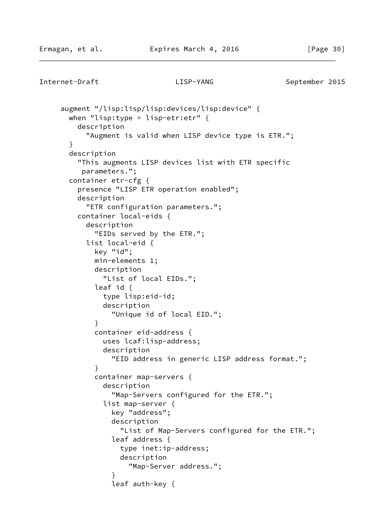```
Internet-Draft LISP-YANG September 2015
      augment "/lisp:lisp/lisp:devices/lisp:device" {
       when "lisp:type = lisp-etr:etr" {
         description
            "Augment is valid when LISP device type is ETR.";
       }
       description
          "This augments LISP devices list with ETR specific
          parameters.";
       container etr-cfg {
          presence "LISP ETR operation enabled";
          description
            "ETR configuration parameters.";
         container local-eids {
           description
              "EIDs served by the ETR.";
           list local-eid {
             key "id";
             min-elements 1;
             description
                "List of local EIDs.";
             leaf id {
               type lisp:eid-id;
               description
                  "Unique id of local EID.";
 }
             container eid-address {
               uses lcaf:lisp-address;
               description
                 "EID address in generic LISP address format.";
 }
             container map-servers {
               description
                  "Map-Servers configured for the ETR.";
               list map-server {
                 key "address";
                 description
                    "List of Map-Servers configured for the ETR.";
                 leaf address {
                   type inet:ip-address;
                   description
                      "Map-Server address.";
 }
                 leaf auth-key {
```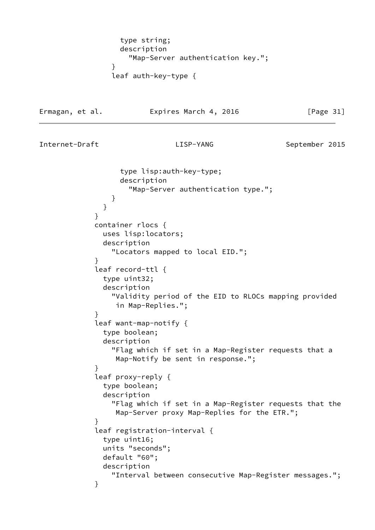```
 type string;
                  description
                    "Map-Server authentication key.";
 }
                leaf auth-key-type {
```
Ermagan, et al. **Expires March 4, 2016** [Page 31]

<span id="page-35-0"></span>

```
 type lisp:auth-key-type;
                  description
                    "Map-Server authentication type.";
 }
 }
 }
            container rlocs {
              uses lisp:locators;
              description
                "Locators mapped to local EID.";
 }
            leaf record-ttl {
              type uint32;
              description
                "Validity period of the EID to RLOCs mapping provided
                 in Map-Replies.";
 }
             leaf want-map-notify {
              type boolean;
              description
                "Flag which if set in a Map-Register requests that a
                 Map-Notify be sent in response.";
 }
             leaf proxy-reply {
              type boolean;
              description
                "Flag which if set in a Map-Register requests that the
                 Map-Server proxy Map-Replies for the ETR.";
 }
             leaf registration-interval {
              type uint16;
              units "seconds";
              default "60";
              description
                "Interval between consecutive Map-Register messages.";
 }
```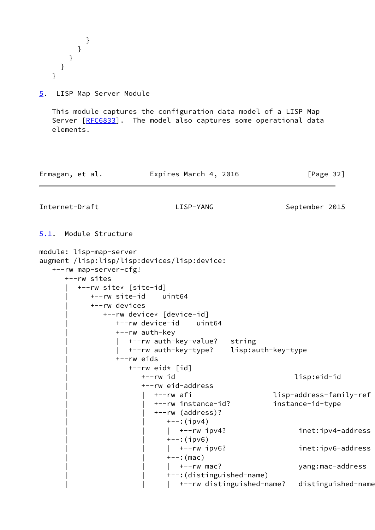} } } } }

<span id="page-36-0"></span>[5](#page-36-0). LISP Map Server Module

 This module captures the configuration data model of a LISP Map Server [\[RFC6833](https://datatracker.ietf.org/doc/pdf/rfc6833)]. The model also captures some operational data elements.

| Ermagan, et al. | Expires March 4, 2016 | [Page 32] |
|-----------------|-----------------------|-----------|
|                 |                       |           |

Internet-Draft LISP-YANG September 2015

<span id="page-36-1"></span>[5.1](#page-36-1). Module Structure

```
module: lisp-map-server
augment /lisp:lisp/lisp:devices/lisp:device:
   +--rw map-server-cfg!
      +--rw sites
         | +--rw site* [site-id]
            | +--rw site-id uint64
            | +--rw devices
               | +--rw device* [device-id]
                 | +--rw device-id uint64
                 | +--rw auth-key
                    | | +--rw auth-key-value? string
                    | | +--rw auth-key-type? lisp:auth-key-type
                  | +--rw eids
                   +--rw eid* [id]
                       | +--rw id lisp:eid-id
                       | +--rw eid-address
                          | | +--rw afi lisp-address-family-ref
                          | | +--rw instance-id? instance-id-type
                          | | +--rw (address)?
                            +--:(ipv4)
                            | +--rw ipv4? inet:ipv4-address
                            +--:(ipv6)
                            | +--rw ipv6? inet:ipv6-address
                            +--: (mac)
                            | +--rw mac? yang:mac-address
                             | | +--:(distinguished-name)
                            | +--rw distinguished-name? distinguished-name
```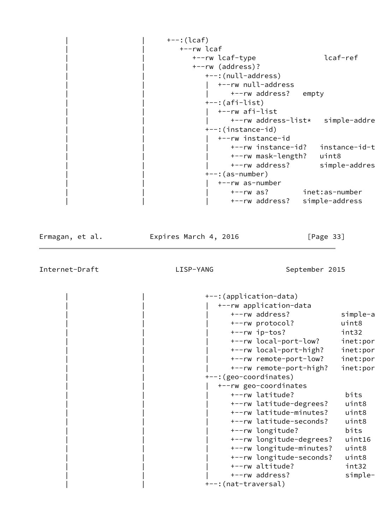| $+--$ : (lcaf)<br>+--rw lcaf<br>+--rw lcaf-type<br>+--rw (address)?<br>+--: (null-address)<br>+--:(afi-list)<br>+--rw afi-list |                   | lcaf-ref                                                                                                                                                                                                                                                                                                                                                                     |
|--------------------------------------------------------------------------------------------------------------------------------|-------------------|------------------------------------------------------------------------------------------------------------------------------------------------------------------------------------------------------------------------------------------------------------------------------------------------------------------------------------------------------------------------------|
| $---:(as-number)$<br>+--rw as-number                                                                                           |                   |                                                                                                                                                                                                                                                                                                                                                                              |
|                                                                                                                                |                   |                                                                                                                                                                                                                                                                                                                                                                              |
| Expires March 4, 2016<br>LISP-YANG                                                                                             | [Page $33$ ]      |                                                                                                                                                                                                                                                                                                                                                                              |
| +--rw ip-tos?<br>+--rw local-port-low?<br>+--rw local-port-high?                                                               |                   | simple-a<br>uint8<br>int32<br>inet:por                                                                                                                                                                                                                                                                                                                                       |
|                                                                                                                                | +--:(instance-id) | +--rw null-address<br>+--rw address? empty<br>+--rw address-list* simple-addre<br>+--rw instance-id<br>+--rw instance-id? instance-id-t<br>+--rw mask-length? uint8<br>+--rw address? simple-addres<br>+--rw as? inet:as-number<br>+--rw address? simple-address<br>September 2015<br>+--: (application-data)<br>+--rw application-data<br>+--rw address?<br>+--rw protocol? |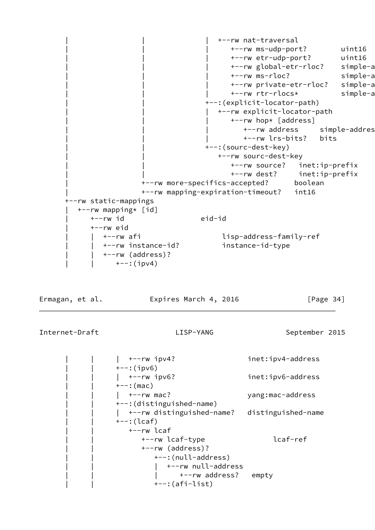| | | +--rw nat-traversal | | | +--rw ms-udp-port? uint16 | | | +--rw etr-udp-port? uint16 +--rw global-etr-rloc? simple-a +--rw ms-rloc? simple-a +--rw private-etr-rloc? simple-a +--rw rtr-rlocs\* simple-a | | +--:(explicit-locator-path) | | | +--rw explicit-locator-path +--rw hop\* [address] +--rw address simple-addres | | | +--rw lrs-bits? bits +--:(sourc-dest-key) +--rw sourc-dest-key | | +--rw source? inet:ip-prefix | | +--rw dest? inet:ip-prefix | +--rw more-specifics-accepted? boolean | +--rw mapping-expiration-timeout? int16 +--rw static-mappings | +--rw mapping\* [id] | +--rw id eid-id | +--rw eid | | +--rw afi lisp-address-family-ref | | +--rw instance-id? instance-id-type | | +--rw (address)? | | +--:(ipv4)

Ermagan, et al. **Expires March 4, 2016** [Page 34]

```
| +-rw ipv4? inet:ipv4-address
+--:(ipv6)
 | | | +--rw ipv6? inet:ipv6-address
+--: (mac)
| +--rw mac? yang:mac-address
 | | +--:(distinguished-name)
| +--rw distinguished-name? distinguished-name
 | | +--:(lcaf)
    | | +--rw lcaf
      | | +--rw lcaf-type lcaf-ref
      | | +--rw (address)?
         | | +--:(null-address)
            | | | +--rw null-address
              +--rw address? empty
        +--: (afi-list)
```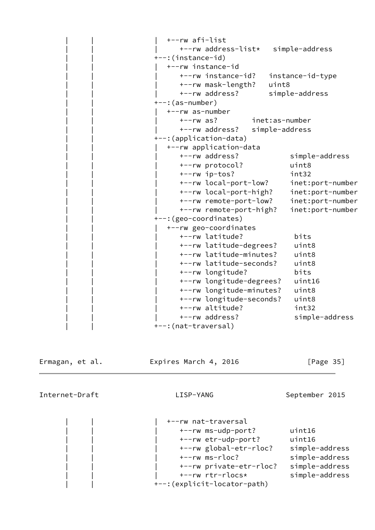```
 | | | +--rw afi-list
       | | | +--rw address-list* simple-address
 | | +--:(instance-id)
    | | | +--rw instance-id
       | | | +--rw instance-id? instance-id-type
       | | | +--rw mask-length? uint8
       | | | +--rw address? simple-address
 | | +--:(as-number)
    | | | +--rw as-number
       | | | +--rw as? inet:as-number
       | | | +--rw address? simple-address
 | | +--:(application-data)
    | | | +--rw application-data
       | | | +--rw address? simple-address
       | | | +--rw protocol? uint8
       | | | +--rw ip-tos? int32
       | | | +--rw local-port-low? inet:port-number
       | | | +--rw local-port-high? inet:port-number
       | | | +--rw remote-port-low? inet:port-number
       | | | +--rw remote-port-high? inet:port-number
 | | +--:(geo-coordinates)
    | | | +--rw geo-coordinates
       | | | +--rw latitude? bits
       | | | +--rw latitude-degrees? uint8
       | | | +--rw latitude-minutes? uint8
       | | | +--rw latitude-seconds? uint8
       | | | +--rw longitude? bits
       | | | +--rw longitude-degrees? uint16
       | | | +--rw longitude-minutes? uint8
       | | | +--rw longitude-seconds? uint8
       | | | +--rw altitude? int32
       | | | +--rw address? simple-address
+--: (nat-traversal)
```
Ermagan, et al. Expires March 4, 2016 [Page 35]

Internet-Draft LISP-YANG September 2015

 | | | +--rw nat-traversal | | | +--rw ms-udp-port? uint16 | | | +--rw etr-udp-port? uint16 | | | +--rw global-etr-rloc? simple-address | | | +--rw ms-rloc? simple-address | | | +--rw private-etr-rloc? simple-address | | | +--rw rtr-rlocs\* simple-address | | +--:(explicit-locator-path)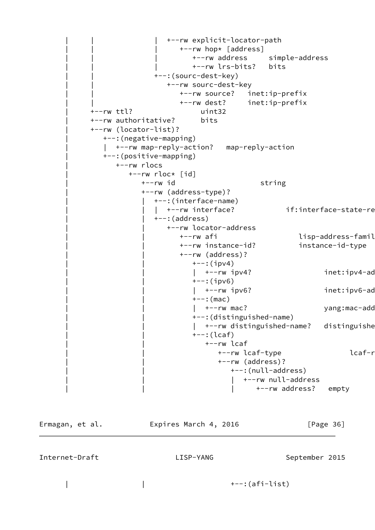```
 | | | +--rw explicit-locator-path
                    +--rw hop* [address]
                        | | | +--rw address simple-address
                        | | | +--rw lrs-bits? bits
               | | +--:(sourc-dest-key)
                 +--rw sourc-dest-key
                     | | +--rw source? inet:ip-prefix
                     | | +--rw dest? inet:ip-prefix
 | +--rw ttl? uint32
 | +--rw authoritative? bits
 | +--rw (locator-list)?
   | +--:(negative-mapping)
   | +--rw map-reply-action? map-reply-action
    | +--:(positive-mapping)
       | +--rw rlocs
         | +--rw rloc* [id]
           +--rw id string
            | +--rw (address-type)?
               | | +--:(interface-name)
              | +--rw interface? if:interface-state-re
              +-:(address)
                  | | +--rw locator-address
                    +--rw afi lisp-address-famil+
                     | | +--rw instance-id? instance-id-type
                     | | +--rw (address)?
                       +--:(ipv4)
                       | +--rw ipv4? inet:ipv4-ad
                        | | +--:(ipv6)
                       | +--rw ipv6? inet:ipv6-ad
                       +--: (mac)
                       | +--rw mac? yang:mac-add
                        | | +--:(distinguished-name)
                       | +--rw distinguished-name? distinguishe
                       +-:({\text{leaf}}) | | +--rw lcaf
                             +--rw lcaf-type lcaf-r
                              | | +--rw (address)?
                                 | | +--:(null-address)
                                    | | | +--rw null-address
                                       | | | +--rw address? empty
```
Ermagan, et al. **Expires March 4, 2016** [Page 36] Internet-Draft LISP-YANG September 2015 | | +--:(afi-list)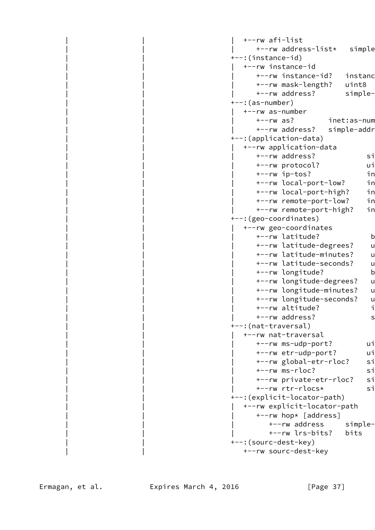```
 | | | +--rw afi-list
      +--rw address-list* simple
 | | +--:(instance-id)
   | | | +--rw instance-id
      +--rw instance-id? instanc
       | | | +--rw mask-length? uint8
      +--rw address? simple-
 | | +--:(as-number)
    | | | +--rw as-number
      +--rw as? inet:as-num
      +--rw address? simple-addr
 | | +--:(application-data)
    | | | +--rw application-data
      +--rw address? simple-
      +--rw protocol? ui
      +--rw ip-tos? in
      +--rw local-port-low? in
      +--rw local-port-high? in
      +--rw remote-port-low? in
      +--rw remote-port-high? in
 | | +--:(geo-coordinates)
    | | | +--rw geo-coordinates
      +--rw latitude? b
      +--rw latitude-degrees? u
      +--rw latitude-minutes? u
      +--rw latitude-seconds? u
      +--rw longitude? b
      +--rw longitude-degrees? u
      +--rw longitude-minutes? u
      +--rw longitude-seconds? u
      +--rw altitude? intactional intervals
      +--rw address? simple-
+--: (nat-traversal)
    | | | +--rw nat-traversal
     +--rw ms-udp-port? ui
      +--rw etr-udp-port? ui
      +--rw global-etr-rloc? sim
      +--rw ms-rloc? si
      +--rw private-etr-rloc? si
      +--rw rtr-rlocs* simpless
 | | +--:(explicit-locator-path)
    | | | +--rw explicit-locator-path
      +--rw hop* [address]
         +--rw address simple-
          | | | +--rw lrs-bits? bits
 | | +--:(sourc-dest-key)
    | | +--rw sourc-dest-key
```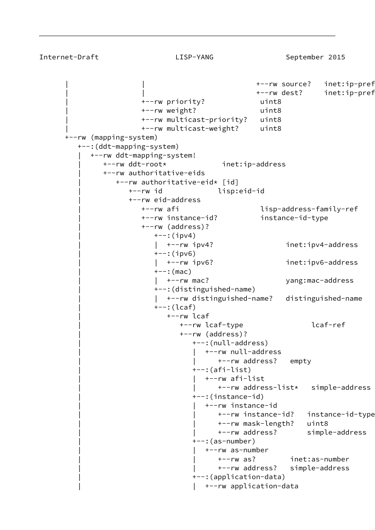```
+--rw source? inet:ip-pref
                                            +--rw dest? inet:ip-pref
                  | +--rw priority? uint8
                  | +--rw weight? uint8
                  | +--rw multicast-priority? uint8
                  | +--rw multicast-weight? uint8
 +--rw (mapping-system)
   +--:(ddt-mapping-system)
      | +--rw ddt-mapping-system!
         | +--rw ddt-root* inet:ip-address
         | +--rw authoritative-eids
            | +--rw authoritative-eid* [id]
               | +--rw id lisp:eid-id
               | +--rw eid-address
                  | +--rw afi lisp-address-family-ref
                  | +--rw instance-id? instance-id-type
                  | +--rw (address)?
                    +--:(ipv4)
                     | | +--rw ipv4? inet:ipv4-address
                    +--:(ipv6)
                        | | +--rw ipv6? inet:ipv6-address
                    +--: (mac)
                    | +--rw mac? yang:mac-address
                     | +--:(distinguished-name)
                        | | +--rw distinguished-name? distinguished-name
                     | +--:(lcaf)
                        | +--rw lcaf
                           | +--rw lcaf-type lcaf-ref
                           | +--rw (address)?
                              | +--:(null-address)
                                 | | +--rw null-address
                                    | | +--rw address? empty
                              | +--:(afi-list)
                                 | | +--rw afi-list
                                    | | +--rw address-list* simple-address
                              | +--:(instance-id)
                                 | | +--rw instance-id
                                    | | +--rw instance-id? instance-id-type
                                    | | +--rw mask-length? uint8
                                    | | +--rw address? simple-address
                             +--: (as-number)
                                 | | +--rw as-number
                                    | | +--rw as? inet:as-number
                                    | | +--rw address? simple-address
                              | +--:(application-data)
                                 | | +--rw application-data
```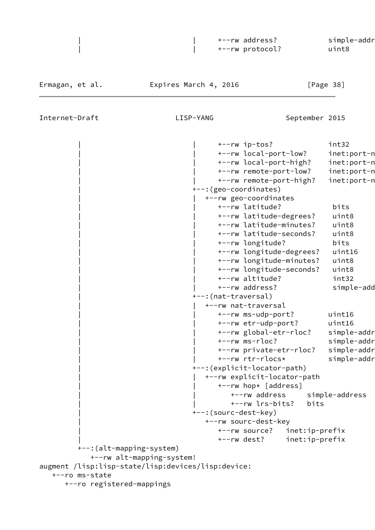| +--rw address?  | simple-addr |
|-----------------|-------------|
| +--rw protocol? | uint8       |
|                 |             |

Ermagan, et al. Expires March 4, 2016 [Page 38]

|                                                    |                              | +--rw ip-tos?               |                | int32          |
|----------------------------------------------------|------------------------------|-----------------------------|----------------|----------------|
|                                                    |                              | +--rw local-port-low?       |                | inet:port-n    |
|                                                    |                              | +--rw local-port-high?      |                | inet:port-n    |
|                                                    |                              | +--rw remote-port-low?      |                | inet:port-n    |
|                                                    |                              | +--rw remote-port-high?     |                | inet:port-n    |
|                                                    | +--: (geo-coordinates)       |                             |                |                |
|                                                    |                              | +--rw geo-coordinates       |                |                |
|                                                    |                              | +--rw latitude?             |                | bits           |
|                                                    |                              | +--rw latitude-degrees?     |                | uint8          |
|                                                    |                              | +--rw latitude-minutes?     |                | uint8          |
|                                                    |                              | +--rw latitude-seconds?     |                | uint8          |
|                                                    |                              | +--rw longitude?            |                | bits           |
|                                                    |                              | +--rw longitude-degrees?    |                | uint16         |
|                                                    |                              | +--rw longitude-minutes?    |                | uint8          |
|                                                    |                              | +--rw longitude-seconds?    |                | uint8          |
|                                                    |                              | +--rw altitude?             |                | int32          |
|                                                    |                              | +--rw address?              |                | simple-add     |
|                                                    | +--:(nat-traversal)          |                             |                |                |
|                                                    |                              | +--rw nat-traversal         |                |                |
|                                                    |                              | +--rw ms-udp-port?          |                | uint16         |
|                                                    |                              | +--rw etr-udp-port?         |                | uint16         |
|                                                    |                              | +--rw global-etr-rloc?      |                | simple-addr    |
|                                                    |                              | +--rw ms-rloc?              |                | simple-addr    |
|                                                    |                              | +--rw private-etr-rloc?     |                | simple-addr    |
|                                                    |                              | +--rw rtr-rlocs*            |                | simple-addr    |
|                                                    | +--: (explicit-locator-path) |                             |                |                |
|                                                    |                              | +--rw explicit-locator-path |                |                |
|                                                    |                              | +--rw hop* [address]        |                |                |
|                                                    |                              | +--rw address               |                | simple-address |
|                                                    |                              | +--rw lrs-bits?             | bits           |                |
|                                                    | +--: (sourc-dest-key)        |                             |                |                |
|                                                    |                              | +--rw sourc-dest-key        |                |                |
|                                                    |                              | +--rw source?               | inet:ip-prefix |                |
|                                                    |                              | +--rw dest?                 | inet:ip-prefix |                |
| +--: (alt-mapping-system)                          |                              |                             |                |                |
| +--rw alt-mapping-system!                          |                              |                             |                |                |
| augment /lisp:lisp-state/lisp:devices/lisp:device: |                              |                             |                |                |
| +--ro ms-state                                     |                              |                             |                |                |
| +--ro registered-mappings                          |                              |                             |                |                |
|                                                    |                              |                             |                |                |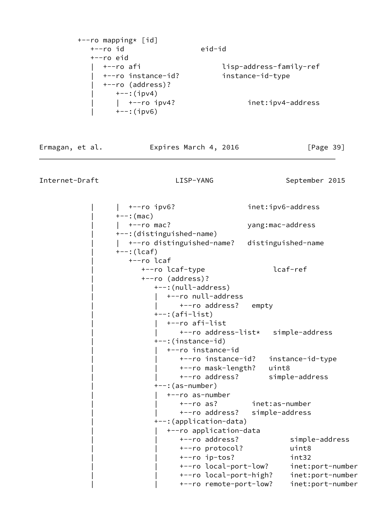| +--ro mapping* [id] |                         |
|---------------------|-------------------------|
| $+--ro$ id          | eid-id                  |
| $+--ro$ eid         |                         |
| +--ro afi           | lisp-address-family-ref |
| +--ro instance-id?  | instance-id-type        |
| +--ro (address)?    |                         |
| $+--$ : (ipv4)      |                         |
| $\vert$ +--ro ipv4? | inet:ipv4-address       |
| $+--: (ipv6)$       |                         |

Ermagan, et al. **Expires March 4, 2016** [Page 39]

Internet-Draft LISP-YANG September 2015

 | | +--ro ipv6? inet:ipv6-address  $+--:$  (mac) |  $+--$ ro mac? yang:mac-address | +--:(distinguished-name) | | +--ro distinguished-name? distinguished-name  $+--: (lcaf)$  | +--ro lcaf | +--ro lcaf-type lcaf-ref | +--ro (address)? | +--:(null-address) | | +--ro null-address +--ro address? empty | +--:(afi-list) | | +--ro afi-list | | +--ro address-list\* simple-address | +--:(instance-id) | | +--ro instance-id | | +--ro instance-id? instance-id-type | | +--ro mask-length? uint8 | | +--ro address? simple-address | +--:(as-number) | | +--ro as-number | | +--ro as? inet:as-number | | +--ro address? simple-address | +--:(application-data) | | +--ro application-data | | +--ro address? simple-address | | +--ro protocol? uint8 | | +--ro ip-tos? int32 | | +--ro local-port-low? inet:port-number | | +--ro local-port-high? inet:port-number | | +--ro remote-port-low? inet:port-number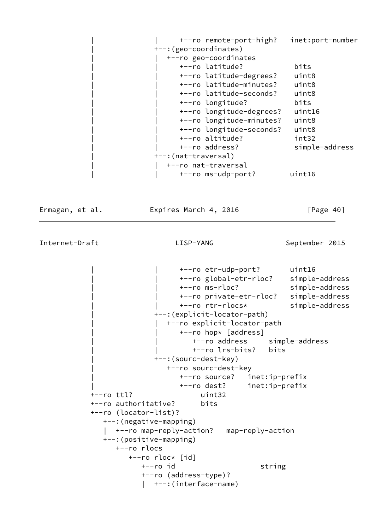| +--ro remote-port-high?  | inet:port-number |
|--------------------------|------------------|
| +--: (geo-coordinates)   |                  |
| +--ro geo-coordinates    |                  |
| +--ro latitude?          | bits             |
| +--ro latitude-degrees?  | uint8            |
| +--ro latitude-minutes?  | uint8            |
| +--ro latitude-seconds?  | uint8            |
| +--ro longitude?         | bits             |
| +--ro longitude-degrees? | uint16           |
| +--ro longitude-minutes? | uint8            |
| +--ro longitude-seconds? | uint8            |
| +--ro altitude?          | int32            |
| +--ro address?           | simple-address   |
| +--: (nat-traversal)     |                  |
| +--ro nat-traversal      |                  |
| +--ro ms-udp-port?       | uint16           |
|                          |                  |

Ermagan, et al. **Expires March 4, 2016** [Page 40]

Internet-Draft LISP-YANG September 2015

 | | +--ro etr-udp-port? uint16 | | +--ro global-etr-rloc? simple-address | | +--ro ms-rloc? simple-address | | +--ro private-etr-rloc? simple-address | | +--ro rtr-rlocs\* simple-address | +--:(explicit-locator-path) | | +--ro explicit-locator-path +--ro hop\* [address] | | +--ro address simple-address | | +--ro lrs-bits? bits | +--:(sourc-dest-key) | +--ro sourc-dest-key | +--ro source? inet:ip-prefix | +--ro dest? inet:ip-prefix +--ro ttl? uint32 +--ro authoritative? bits +--ro (locator-list)? +--:(negative-mapping) | +--ro map-reply-action? map-reply-action +--:(positive-mapping) +--ro rlocs +--ro rloc\* [id] +--ro id string +--ro (address-type)? | +--:(interface-name)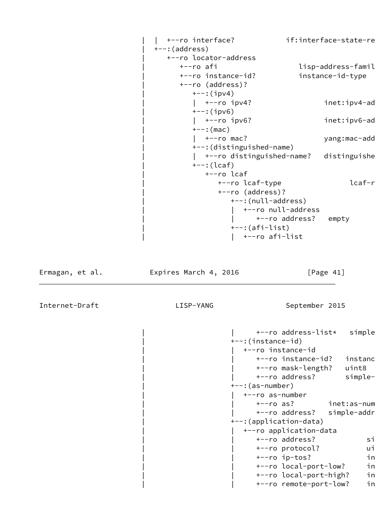```
| +--ro interface? if:interface-state-re
+--: (address)
   | +--ro locator-address
     +--ro afi lisp-address-famil+
      | +--ro instance-id? instance-id-type
      | +--ro (address)?
        +--:(ipv4)
        | +--ro ipv4? inet:ipv4-ad
        +--:(ipv6)
        | +--ro ipv6? inet:ipv6-ad
        +--: (mac)
        | +--ro mac? yang:mac-add
         | +--:(distinguished-name)
        | +--ro distinguished-name? distinguishe
        +-:({\text{leaf}}) | +--ro lcaf
             +--ro lcaf-type lcaf-r
              | +--ro (address)?
                 | +--:(null-address)
                   | | +--ro null-address
                     +--ro address? empty
                 | +--:(afi-list)
                 | | +--ro afi-list
```
Ermagan, et al. Expires March 4, 2016 [Page 41]

```
+--ro address-list* simple
 | +--:(instance-id)
   | | +--ro instance-id
     +--ro instance-id? instanc
      | | +--ro mask-length? uint8
     +--ro address? simple-
 | +--:(as-number)
   | | +--ro as-number
     +--ro as? inet:as-num
     +--ro address? simple-addr
 | +--:(application-data)
   | | +--ro application-data
     +--ro address? si
     +--ro protocol? ui
     +--ro ip-tos? in
     +--ro local-port-low? in
     +--ro local-port-high? in
     +--ro remote-port-low? in
```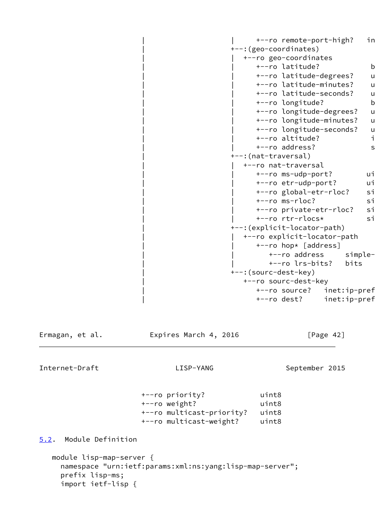+--ro remote-port-high? in | +--:(geo-coordinates) | | +--ro geo-coordinates +--ro latitude? bitsource +--ro latitude-degrees? u +--ro latitude-minutes? u +--ro latitude-seconds? u +--ro longitude? b +--ro longitude-degrees? u +--ro longitude-minutes? u +--ro longitude-seconds? u +--ro altitude? intactional intervals +--ro address? simple- | +--:(nat-traversal) | | +--ro nat-traversal +--ro ms-udp-port? ui +--ro etr-udp-port? ui +--ro global-etr-rloc? sim +--ro ms-rloc? si +--ro private-etr-rloc? si +--ro rtr-rlocs\* si | +--:(explicit-locator-path) | | +--ro explicit-locator-path +--ro hop\* [address] +--ro address simple- | | +--ro lrs-bits? bits | +--:(sourc-dest-key) | +--ro sourc-dest-key +--ro source? inet:ip-pref +--ro dest? inet:ip-pref

Ermagan, et al. **Expires March 4, 2016** [Page 42]

Internet-Draft LISP-YANG September 2015

 +--ro priority? uint8 +--ro weight? uint8 +--ro multicast-priority? uint8 +--ro multicast-weight? uint8

<span id="page-47-0"></span>[5.2](#page-47-0). Module Definition

```
 module lisp-map-server {
   namespace "urn:ietf:params:xml:ns:yang:lisp-map-server";
   prefix lisp-ms;
   import ietf-lisp {
```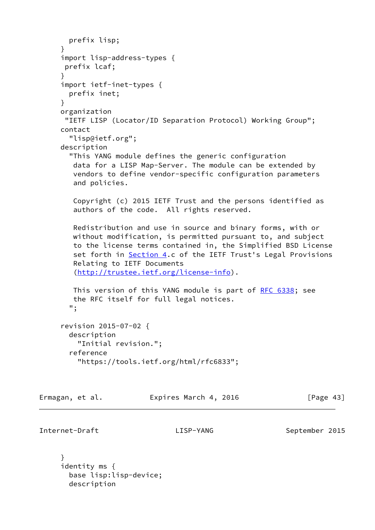```
 prefix lisp;
 }
 import lisp-address-types {
 prefix lcaf;
 }
 import ietf-inet-types {
  prefix inet;
 }
 organization
  "IETF LISP (Locator/ID Separation Protocol) Working Group";
 contact
   "lisp@ietf.org";
 description
   "This YANG module defines the generic configuration
    data for a LISP Map-Server. The module can be extended by
    vendors to define vendor-specific configuration parameters
    and policies.
    Copyright (c) 2015 IETF Trust and the persons identified as
    authors of the code. All rights reserved.
    Redistribution and use in source and binary forms, with or
   without modification, is permitted pursuant to, and subject
    to the license terms contained in, the Simplified BSD License
   set forth in Section 4.c of the IETF Trust's Legal Provisions
    Relating to IETF Documents
    (http://trustee.ietf.org/license-info).
   RFC 6338; see
    the RFC itself for full legal notices.
   ";
 revision 2015-07-02 {
   description
     "Initial revision.";
   reference
     "https://tools.ietf.org/html/rfc6833";
```
Ermagan, et al. **Expires March 4, 2016** [Page 43]

```
Internet-Draft LISP-YANG September 2015
```
 } identity ms { base lisp:lisp-device; description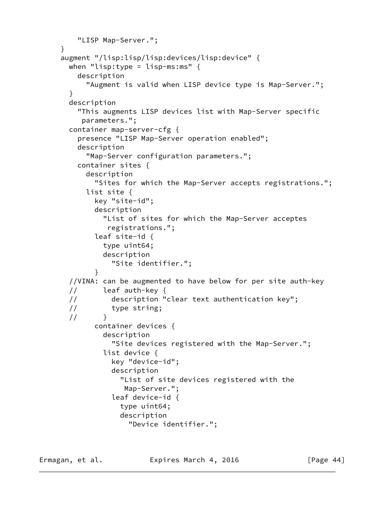```
 "LISP Map-Server.";
     }
      augment "/lisp:lisp/lisp:devices/lisp:device" {
       when "lisp:type = lisp-ms:ms" {
          description
            "Augment is valid when LISP device type is Map-Server.";
        }
        description
          "This augments LISP devices list with Map-Server specific
           parameters.";
        container map-server-cfg {
          presence "LISP Map-Server operation enabled";
          description
            "Map-Server configuration parameters.";
          container sites {
            description
              "Sites for which the Map-Server accepts registrations.";
            list site {
              key "site-id";
              description
                "List of sites for which the Map-Server acceptes
                 registrations.";
              leaf site-id {
                type uint64;
                description
                  "Site identifier.";
 }
        //VINA: can be augmented to have below for per site auth-key
        // leaf auth-key {
        // description "clear text authentication key";
        // type string;
       \frac{1}{2} container devices {
                description
                  "Site devices registered with the Map-Server.";
                list device {
                  key "device-id";
                  description
                    "List of site devices registered with the
                     Map-Server.";
                  leaf device-id {
                    type uint64;
                    description
                      "Device identifier.";
```
Ermagan, et al. **Expires March 4, 2016** [Page 44]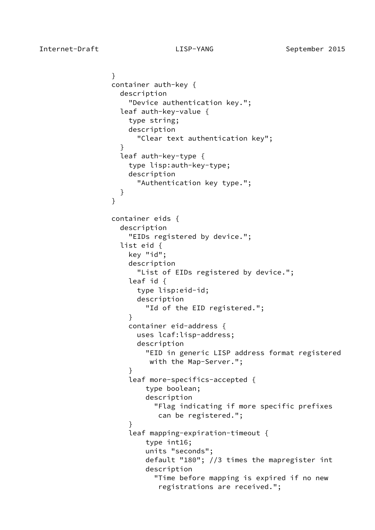```
 }
                container auth-key {
                  description
                    "Device authentication key.";
                  leaf auth-key-value {
                    type string;
                    description
                      "Clear text authentication key";
 }
                  leaf auth-key-type {
                    type lisp:auth-key-type;
                    description
                      "Authentication key type.";
 }
 }
                container eids {
                  description
                    "EIDs registered by device.";
                  list eid {
                    key "id";
                    description
                      "List of EIDs registered by device.";
                    leaf id {
                      type lisp:eid-id;
                      description
                        "Id of the EID registered.";
 }
                    container eid-address {
                      uses lcaf:lisp-address;
                      description
                        "EID in generic LISP address format registered
                         with the Map-Server.";
 }
                    leaf more-specifics-accepted {
                        type boolean;
                        description
                          "Flag indicating if more specific prefixes
                           can be registered.";
 }
                    leaf mapping-expiration-timeout {
                        type int16;
                        units "seconds";
                        default "180"; //3 times the mapregister int
                        description
                          "Time before mapping is expired if no new
                           registrations are received.";
```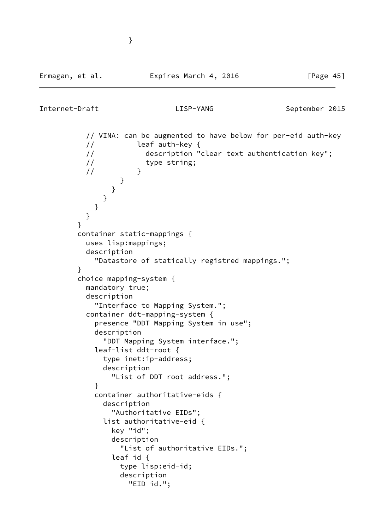```
 // VINA: can be augmented to have below for per-eid auth-key
          // leaf auth-key {
          // description "clear text authentication key";
          // type string;
\frac{1}{2} }
 }
 }
 }
 }
 }
 }
        container static-mappings {
          uses lisp:mappings;
          description
            "Datastore of statically registred mappings.";
 }
         choice mapping-system {
          mandatory true;
          description
            "Interface to Mapping System.";
          container ddt-mapping-system {
            presence "DDT Mapping System in use";
            description
              "DDT Mapping System interface.";
            leaf-list ddt-root {
              type inet:ip-address;
              description
                "List of DDT root address.";
 }
            container authoritative-eids {
              description
                "Authoritative EIDs";
              list authoritative-eid {
                key "id";
                description
                  "List of authoritative EIDs.";
                leaf id {
                  type lisp:eid-id;
                  description
                   "EID id.";
```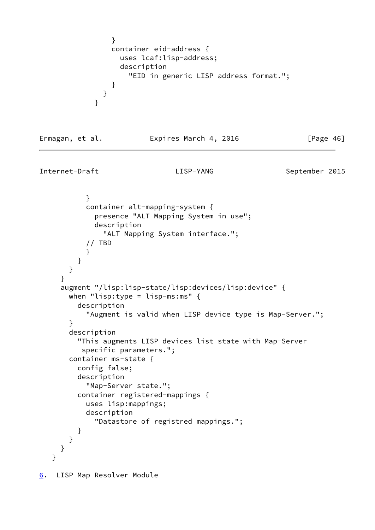```
 }
            container eid-address {
              uses lcaf:lisp-address;
              description
               "EID in generic LISP address format.";
 }
 }
 }
```
Ermagan, et al. **Expires March 4, 2016** [Page 46]

Internet-Draft **LISP-YANG** LISP-YANG September 2015

```
 }
            container alt-mapping-system {
              presence "ALT Mapping System in use";
              description
                "ALT Mapping System interface.";
            // TBD
 }
          }
        }
      }
      augment "/lisp:lisp-state/lisp:devices/lisp:device" {
       when "lisp:type = lisp-ms:ms" \{ description
            "Augment is valid when LISP device type is Map-Server.";
        }
        description
          "This augments LISP devices list state with Map-Server
           specific parameters.";
        container ms-state {
          config false;
          description
            "Map-Server state.";
          container registered-mappings {
            uses lisp:mappings;
            description
              "Datastore of registred mappings.";
          }
       }
      }
    }
6. LISP Map Resolver Module
```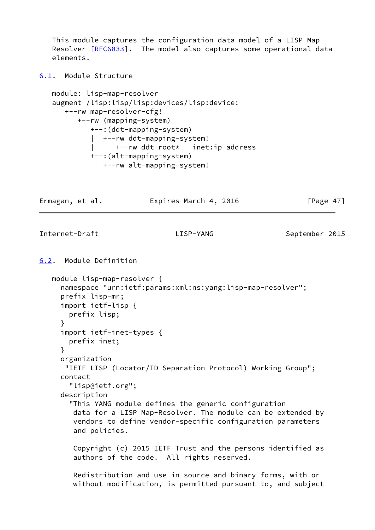This module captures the configuration data model of a LISP Map Resolver [\[RFC6833](https://datatracker.ietf.org/doc/pdf/rfc6833)]. The model also captures some operational data elements.

<span id="page-53-0"></span>[6.1](#page-53-0). Module Structure

```
 module: lisp-map-resolver
 augment /lisp:lisp/lisp:devices/lisp:device:
    +--rw map-resolver-cfg!
       +--rw (mapping-system)
          +--:(ddt-mapping-system)
          | +--rw ddt-mapping-system!
          | +--rw ddt-root* inet:ip-address
          +--:(alt-mapping-system)
             +--rw alt-mapping-system!
```
Ermagan, et al. **Expires March 4, 2016** [Page 47]

Internet-Draft LISP-YANG September 2015

```
6.2. Module Definition
```

```
 module lisp-map-resolver {
   namespace "urn:ietf:params:xml:ns:yang:lisp-map-resolver";
   prefix lisp-mr;
   import ietf-lisp {
     prefix lisp;
   }
   import ietf-inet-types {
     prefix inet;
   }
   organization
    "IETF LISP (Locator/ID Separation Protocol) Working Group";
   contact
     "lisp@ietf.org";
   description
     "This YANG module defines the generic configuration
      data for a LISP Map-Resolver. The module can be extended by
      vendors to define vendor-specific configuration parameters
      and policies.
      Copyright (c) 2015 IETF Trust and the persons identified as
      authors of the code. All rights reserved.
      Redistribution and use in source and binary forms, with or
```
without modification, is permitted pursuant to, and subject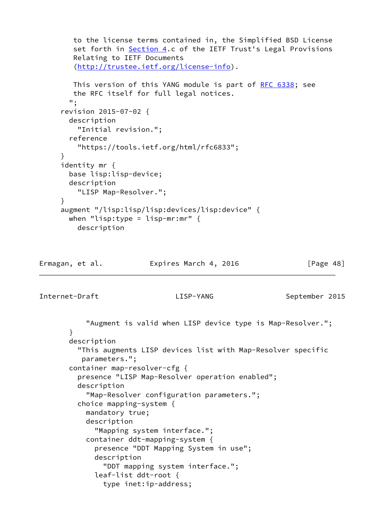```
 to the license terms contained in, the Simplified BSD License
   Section 4.c of the IETF Trust's Legal Provisions
   Relating to IETF Documents
    (http://trustee.ietf.org/license-info).
   RFC 6338; see
   the RFC itself for full legal notices.
   ";
 revision 2015-07-02 {
  description
    "Initial revision.";
  reference
    "https://tools.ietf.org/html/rfc6833";
 }
 identity mr {
  base lisp:lisp-device;
  description
    "LISP Map-Resolver.";
 }
 augment "/lisp:lisp/lisp:devices/lisp:device" {
 when "lisp:type = lisp-mr:mr" \{ description
```
Ermagan, et al. Expires March 4, 2016 [Page 48]

Internet-Draft LISP-YANG September 2015

 "Augment is valid when LISP device type is Map-Resolver."; } description "This augments LISP devices list with Map-Resolver specific parameters."; container map-resolver-cfg { presence "LISP Map-Resolver operation enabled"; description "Map-Resolver configuration parameters."; choice mapping-system { mandatory true; description "Mapping system interface."; container ddt-mapping-system { presence "DDT Mapping System in use"; description "DDT mapping system interface."; leaf-list ddt-root { type inet:ip-address;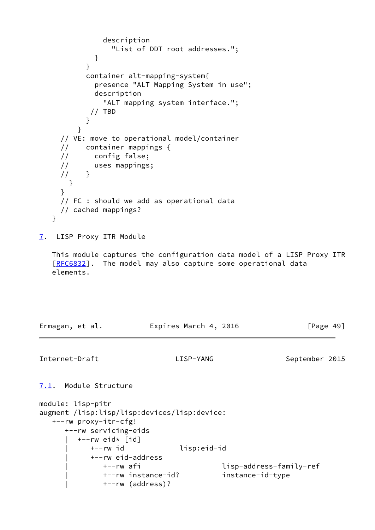```
 description
                "List of DDT root addresses.";
 }
 }
          container alt-mapping-system{
            presence "ALT Mapping System in use";
            description
              "ALT mapping system interface.";
           // TBD
 }
 }
     // VE: move to operational model/container
     // container mappings {
     // config false;
     // uses mappings;
    1/ }
       }
     }
     // FC : should we add as operational data
     // cached mappings?
   }
7. LISP Proxy ITR Module
   This module captures the configuration data model of a LISP Proxy ITR
  [RFC6832]. The model may also capture some operational data
   elements.
Ermagan, et al. Expires March 4, 2016 [Page 49]
Internet-Draft LISP-YANG September 2015
7.1. Module Structure
module: lisp-pitr
augment /lisp:lisp/lisp:devices/lisp:device:
   +--rw proxy-itr-cfg!
      +--rw servicing-eids
         | +--rw eid* [id]
           | +--rw id lisp:eid-id
           | +--rw eid-address
              | +--rw afi lisp-address-family-ref
              | +--rw instance-id? instance-id-type
              | +--rw (address)?
```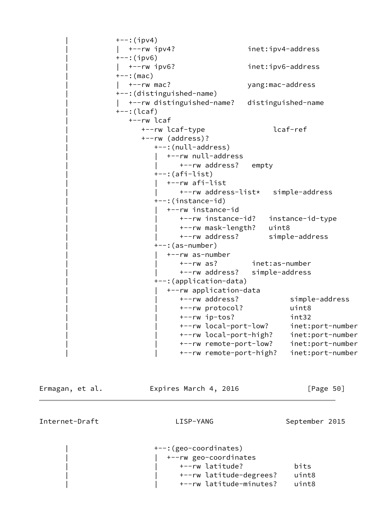```
+--:(ipv4)
                  | | +--rw ipv4? inet:ipv4-address
                 +--:(ipv6)
                  | | +--rw ipv6? inet:ipv6-address
                 ---:(mac)
                  | | +--rw mac? yang:mac-address
                  | +--:(distinguished-name)
                  | | +--rw distinguished-name? distinguished-name
                 +--: (lcaf) | +--rw lcaf
                       | +--rw lcaf-type lcaf-ref
                       | +--rw (address)?
                          | +--:(null-address)
                             | | +--rw null-address
                               +--rw address? empty
                         +--: (afi-list)
                            | | +--rw afi-list
                                | | +--rw address-list* simple-address
                          | +--:(instance-id)
                             | | +--rw instance-id
                                | | +--rw instance-id? instance-id-type
                                | | +--rw mask-length? uint8
                                | | +--rw address? simple-address
                          | +--:(as-number)
                             | | +--rw as-number
                                | | +--rw as? inet:as-number
                                | | +--rw address? simple-address
                          | +--:(application-data)
                             | | +--rw application-data
                                | | +--rw address? simple-address
                                | | +--rw protocol? uint8
                                | | +--rw ip-tos? int32
                                | | +--rw local-port-low? inet:port-number
 | | +--rw local-port-high? inet:port-number
 | | +--rw remote-port-low? inet:port-number
                                | | +--rw remote-port-high? inet:port-number
Ermagan, et al.               Expires March 4, 2016               [Page 50]
```
Internet-Draft LISP-YANG September 2015

 | +--:(geo-coordinates) | | +--rw geo-coordinates | | +--rw latitude? bits | | +--rw latitude-degrees? uint8 | | +--rw latitude-minutes? uint8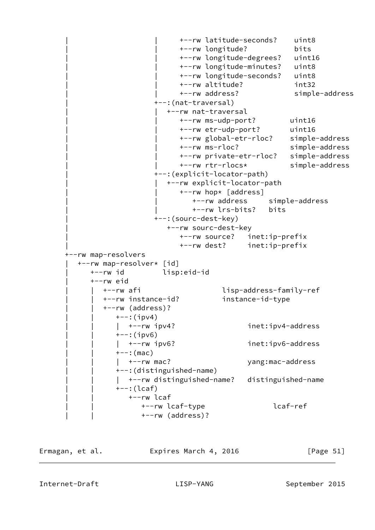```
 | | +--rw latitude-seconds? uint8
                           | | +--rw longitude? bits
                           | | +--rw longitude-degrees? uint16
                           | | +--rw longitude-minutes? uint8
                           | | +--rw longitude-seconds? uint8
                           | | +--rw altitude? int32
                           | | +--rw address? simple-address
                     | +--:(nat-traversal)
                        | | +--rw nat-traversal
                           | | +--rw ms-udp-port? uint16
                           | | +--rw etr-udp-port? uint16
                           | | +--rw global-etr-rloc? simple-address
                           | | +--rw ms-rloc? simple-address
                           | | +--rw private-etr-rloc? simple-address
                           | | +--rw rtr-rlocs* simple-address
                     | +--:(explicit-locator-path)
                        | | +--rw explicit-locator-path
                          +--rw hop* [address]
                              | | +--rw address simple-address
                              | | +--rw lrs-bits? bits
                     | +--:(sourc-dest-key)
                        | +--rw sourc-dest-key
                           | +--rw source? inet:ip-prefix
                           | +--rw dest? inet:ip-prefix
 +--rw map-resolvers
   | +--rw map-resolver* [id]
      | +--rw id lisp:eid-id
      | +--rw eid
         | | +--rw afi lisp-address-family-ref
         | | +--rw instance-id? instance-id-type
         | | +--rw (address)?
           +--:(ipv4)
           | +-rw ipv4? inet:ipv4-address
           +--:(ipv6)
           | +-rw ipv6? inet:ipv6-address
           +--: (mac)
           | +--rw mac? yang:mac-address
            | | +--:(distinguished-name)
           | +--rw distinguished-name? distinguished-name
            | | +--:(lcaf)
               | | +--rw lcaf
                  | | +--rw lcaf-type lcaf-ref
                  | | +--rw (address)?
```
Ermagan, et al. Expires March 4, 2016 [Page 51]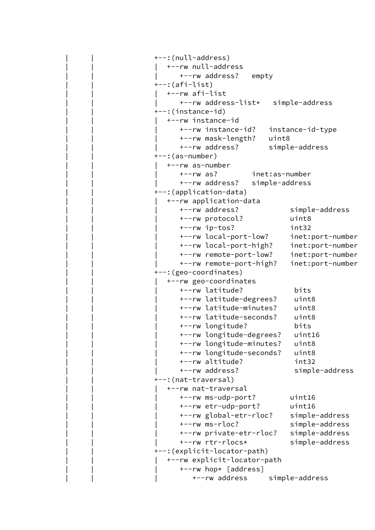```
 | | +--:(null-address)
    | | | +--rw null-address
       | | | +--rw address? empty
+-::(afi-list)
    | | | +--rw afi-list
       | | | +--rw address-list* simple-address
 | | +--:(instance-id)
    | | | +--rw instance-id
       | | | +--rw instance-id? instance-id-type
       | | | +--rw mask-length? uint8
       | | | +--rw address? simple-address
+--: (as-number)
    | | | +--rw as-number
       | | | +--rw as? inet:as-number
       | | | +--rw address? simple-address
 | | +--:(application-data)
    | | | +--rw application-data
       | | | +--rw address? simple-address
       | | | +--rw protocol? uint8
       | | | +--rw ip-tos? int32
       | | | +--rw local-port-low? inet:port-number
       | | | +--rw local-port-high? inet:port-number
       | | | +--rw remote-port-low? inet:port-number
       | | | +--rw remote-port-high? inet:port-number
 | | +--:(geo-coordinates)
    | | | +--rw geo-coordinates
       | | | +--rw latitude? bits
       | | | +--rw latitude-degrees? uint8
       | | | +--rw latitude-minutes? uint8
       | | | +--rw latitude-seconds? uint8
       | | | +--rw longitude? bits
       | | | +--rw longitude-degrees? uint16
       | | | +--rw longitude-minutes? uint8
       | | | +--rw longitude-seconds? uint8
       | | | +--rw altitude? int32
       | | | +--rw address? simple-address
 | | +--:(nat-traversal)
    | | | +--rw nat-traversal
       | | | +--rw ms-udp-port? uint16
       | | | +--rw etr-udp-port? uint16
       | | | +--rw global-etr-rloc? simple-address
       | | | +--rw ms-rloc? simple-address
       | | | +--rw private-etr-rloc? simple-address
       | | | +--rw rtr-rlocs* simple-address
 | | +--:(explicit-locator-path)
    | | | +--rw explicit-locator-path
      +--rw hop* [address]
           | | | +--rw address simple-address
```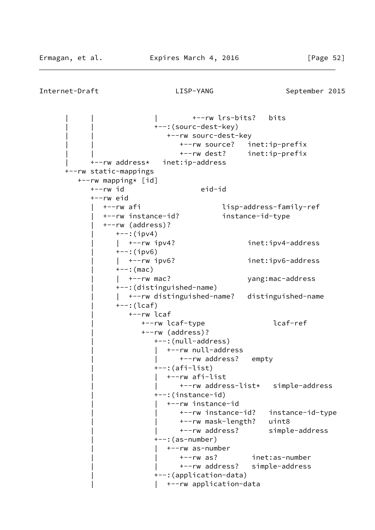| | | +--rw lrs-bits? bits | | +--:(sourc-dest-key) | | +--rw sourc-dest-key | | +--rw source? inet:ip-prefix | | +--rw dest? inet:ip-prefix | +--rw address\* inet:ip-address +--rw static-mappings +--rw mapping\* [id] +--rw id eid-id +--rw eid | +--rw afi lisp-address-family-ref | +--rw instance-id? instance-id-type | +--rw (address)?  $+--:$ (ipv4) | | +--rw ipv4? inet:ipv4-address  $+--:$ (ipv6) | | +--rw ipv6? inet:ipv6-address  $+--:$  (mac) | | +--rw mac? yang:mac-address | +--:(distinguished-name) | | +--rw distinguished-name? distinguished-name  $+--: (lcaf)$  | +--rw lcaf | +--rw lcaf-type lcaf-ref | +--rw (address)? | +--:(null-address) | | +--rw null-address | | +--rw address? empty  $+-:(afi-list)$  | | +--rw afi-list | | +--rw address-list\* simple-address | +--:(instance-id) | | +--rw instance-id | | +--rw instance-id? instance-id-type | | +--rw mask-length? uint8 | | +--rw address? simple-address  $+--:$  (as-number) | | +--rw as-number | | +--rw as? inet:as-number | | +--rw address? simple-address | +--:(application-data) | | +--rw application-data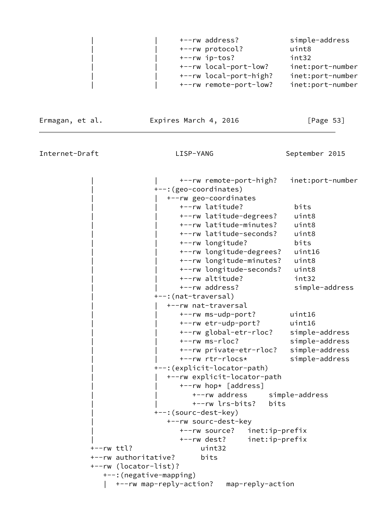|  | +--rw address?         | simple-address   |
|--|------------------------|------------------|
|  | +--rw protocol?        | uint8            |
|  | +--rw ip-tos?          | int32            |
|  | +--rw local-port-low?  | inet:port-number |
|  | +--rw local-port-high? | inet:port-number |
|  | +--rw remote-port-low? | inet:port-number |

Ermagan, et al. **Expires March 4, 2016** [Page 53]

Internet-Draft LISP-YANG September 2015

 | | +--rw remote-port-high? inet:port-number | +--:(geo-coordinates) | | +--rw geo-coordinates | | +--rw latitude? bits | | +--rw latitude-degrees? uint8 | | +--rw latitude-minutes? uint8 | | +--rw latitude-seconds? uint8 | | +--rw longitude? bits | | +--rw longitude-degrees? uint16 | | +--rw longitude-minutes? uint8 | | +--rw longitude-seconds? uint8 | | +--rw altitude? int32 | | +--rw address? simple-address | +--:(nat-traversal) | | +--rw nat-traversal | | +--rw ms-udp-port? uint16 | | +--rw etr-udp-port? uint16 | | +--rw global-etr-rloc? simple-address | | +--rw ms-rloc? simple-address | | +--rw private-etr-rloc? simple-address | | +--rw rtr-rlocs\* simple-address | +--:(explicit-locator-path) | | +--rw explicit-locator-path +--rw hop\* [address] | | +--rw address simple-address | | +--rw lrs-bits? bits | +--:(sourc-dest-key) | +--rw sourc-dest-key | +--rw source? inet:ip-prefix | +--rw dest? inet:ip-prefix +--rw ttl? uint32 +--rw authoritative? bits +--rw (locator-list)? +--:(negative-mapping) | +--rw map-reply-action? map-reply-action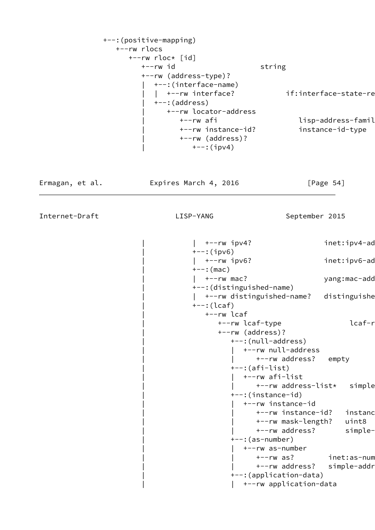```
 +--:(positive-mapping)
   +--rw rlocs
      +--rw rloc* [id]
         +--rw id string
         +--rw (address-type)?
           | +--:(interface-name)
          | +--rw interface? if:interface-state-re
          +-: (address)
              | +--rw locator-address
                +--rw afi lisp-address-famil
                 | +--rw instance-id? instance-id-type
                 | +--rw (address)?
                  +--:(ipv4)
```
Ermagan, et al. Expires March 4, 2016 [Page 54]

```
| +-rw ipv4? inet:ipv4-ad
+--:(ipv6)
| +--rw ipv6? inet:ipv6-ad
+--: (mac)
  | | +--rw mac? yang:mac-address
 | +--:(distinguished-name)
| +--rw distinguished-name? distinguishe
+--: (lcaf) | +--rw lcaf
     +--rw lcaf-type lcaf-r
      | +--rw (address)?
         | +--:(null-address)
           | | +--rw null-address
              | | +--rw address? empty
        +-:(afi-list) | | +--rw afi-list
              +--rw address-list* simple
         | +--:(instance-id)
        | +--rw instance-id
              +--rw instance-id? instanc
               | | +--rw mask-length? uint8
              +--rw address? simple-
         | +--:(as-number)
            | | +--rw as-number
              +--rw as? inet:as-num
              +--rw address? simple-addr
         | +--:(application-data)
        | +--rw application-data
```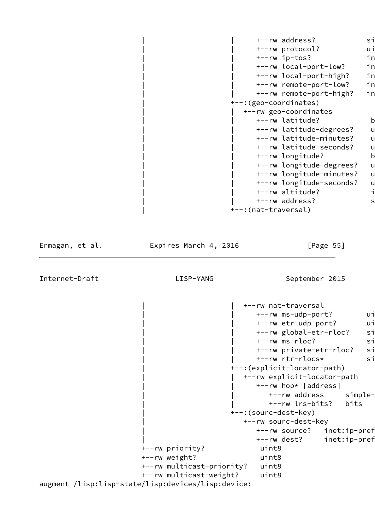```
+--rw address? simple-
     +--rw protocol? ui
     +--rw ip-tos? in
     +--rw local-port-low? in
     +--rw local-port-high? in
     +--rw remote-port-low? in
     +--rw remote-port-high? in
 | +--:(geo-coordinates)
   | | +--rw geo-coordinates
     +--rw latitude? b
     +--rw latitude-degrees? u
     +--rw latitude-minutes? u
     +--rw latitude-seconds? u
     +--rw longitude? b
     +--rw longitude-degrees? u
     +--rw longitude-minutes? u
     +--rw longitude-seconds? u
     +--rw altitude? intactional intervals
     +--rw address? simple-
 | +--:(nat-traversal)
```
Internet-Draft LISP-YANG September 2015 | | +--rw nat-traversal +--rw ms-udp-port? ui +--rw etr-udp-port? ui +--rw global-etr-rloc? simple-+--rw ms-rloc? si +--rw private-etr-rloc? si +--rw rtr-rlocs\* si | +--:(explicit-locator-path) | | +--rw explicit-locator-path | | +--rw hop\* [address] +--rw address simple- | | +--rw lrs-bits? bits | +--:(sourc-dest-key) | +--rw sourc-dest-key +--rw source? inet:ip-pref +--rw dest? inet:ip-pref +--rw priority? uint8 +--rw weight? uint8 +--rw multicast-priority? uint8 +--rw multicast-weight? uint8 augment /lisp:lisp-state/lisp:devices/lisp:device:

Ermagan, et al. Expires March 4, 2016 [Page 55]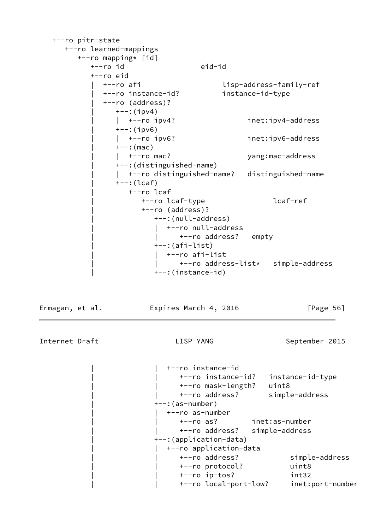```
 +--ro pitr-state
      +--ro learned-mappings
         +--ro mapping* [id]
            +--ro id eid-id
            +--ro eid
              | +--ro afi lisp-address-family-ref
              | +--ro instance-id? instance-id-type
              | +--ro (address)?
                +--:(ipv4)
                 | | +--ro ipv4? inet:ipv4-address
                +--:(ipv6)
                 | | +--ro ipv6? inet:ipv6-address
                +--: (mac)
                | +--ro mac? yang:mac-address
                 | +--:(distinguished-name)
                 | | +--ro distinguished-name? distinguished-name
                 | +--:(lcaf)
                    | +--ro lcaf
                       | +--ro lcaf-type lcaf-ref
                       | +--ro (address)?
                          | +--:(null-address)
                            | | +--ro null-address
                              +--ro address? empty
                          | +--:(afi-list)
                            | | +--ro afi-list
                               | | +--ro address-list* simple-address
                          | +--:(instance-id)
Ermagan, et al. Expires March 4, 2016 [Page 56]
Internet-Draft LISP-YANG September 2015
                            | | +--ro instance-id
                               | | +--ro instance-id? instance-id-type
                               | | +--ro mask-length? uint8
                               | | +--ro address? simple-address
                          | +--:(as-number)
                            | | +--ro as-number
                               | | +--ro as? inet:as-number
                               | | +--ro address? simple-address
                          | +--:(application-data)
                            | | +--ro application-data
                               | | +--ro address? simple-address
                               | | +--ro protocol? uint8
                               | | +--ro ip-tos? int32
                               | | +--ro local-port-low? inet:port-number
```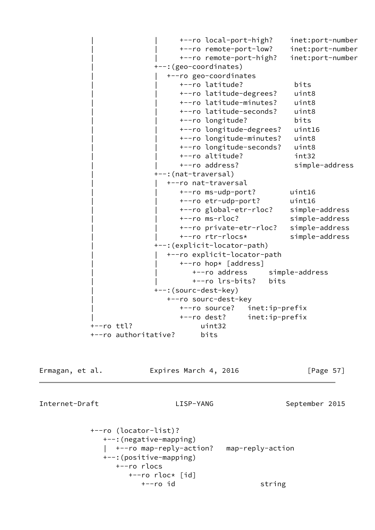| | +--ro local-port-high? inet:port-number | | +--ro remote-port-low? inet:port-number | | +--ro remote-port-high? inet:port-number | +--:(geo-coordinates) | | +--ro geo-coordinates | | +--ro latitude? bits | | +--ro latitude-degrees? uint8 | | +--ro latitude-minutes? uint8 | | +--ro latitude-seconds? uint8 | | +--ro longitude? bits | | +--ro longitude-degrees? uint16 | | +--ro longitude-minutes? uint8 | | +--ro longitude-seconds? uint8 | | +--ro altitude? int32 +--ro address? simple-address | +--:(nat-traversal) | | +--ro nat-traversal | | +--ro ms-udp-port? uint16 | | +--ro etr-udp-port? uint16 +--ro global-etr-rloc? simple-address | | +--ro ms-rloc? simple-address | | +--ro private-etr-rloc? simple-address | | +--ro rtr-rlocs\* simple-address | +--:(explicit-locator-path) | | +--ro explicit-locator-path +--ro hop\* [address] | | +--ro address simple-address | | +--ro lrs-bits? bits | +--:(sourc-dest-key) | +--ro sourc-dest-key | +--ro source? inet:ip-prefix | +--ro dest? inet:ip-prefix +--ro ttl? uint32 +--ro authoritative? bits

Ermagan, et al. **Expires March 4, 2016** [Page 57]

```
 +--ro (locator-list)?
   +--:(negative-mapping)
     | +--ro map-reply-action? map-reply-action
   +--:(positive-mapping)
      +--ro rlocs
         +--ro rloc* [id]
            +--ro id string
```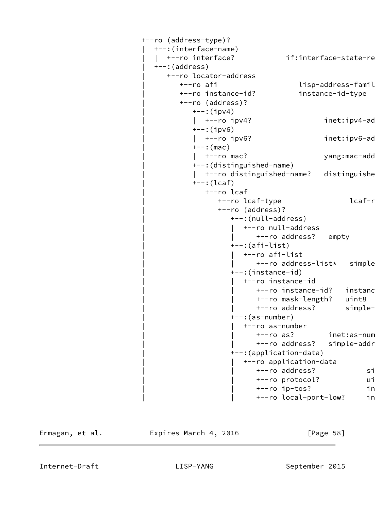```
 +--ro (address-type)?
   | +--:(interface-name)
  | +--ro interface? if:interface-state-re
  +--: (address)
      | +--ro locator-address
        +--ro afi lisp-address-famil+
         | +--ro instance-id? instance-id-type
         | +--ro (address)?
           ---:(ipv4)
           | +--ro ipv4? inet:ipv4-ad
           +--:(ipv6)
           | +--ro ipv6? inet:ipv6-ad
           +--: (mac)
           | +--ro mac? yang:mac-add
            | +--:(distinguished-name)
           | +--ro distinguished-name? distinguishe
            | +--:(lcaf)
              | +--ro lcaf
                +--ro lcaf-type lcaf-r
                 | +--ro (address)?
                    | +--:(null-address)
                       | | +--ro null-address
                         +--ro address? empty
                    | +--:(afi-list)
                       | | +--ro afi-list
                         +--ro address-list* simple
                    | +--:(instance-id)
                       | | +--ro instance-id
                         +--ro instance-id? instanc
                          | | +--ro mask-length? uint8
                         +--ro address? simple-
                    | +--:(as-number)
                       | | +--ro as-number
                         +--ro as? inet:as-num
                         +--ro address? simple-addr
                    | +--:(application-data)
                       | | +--ro application-data
                         +--ro address? simple
                         +--ro protocol? ui
                         +--ro ip-tos? in
                         +--ro local-port-low? in
```
Ermagan, et al. **Expires March 4, 2016** [Page 58]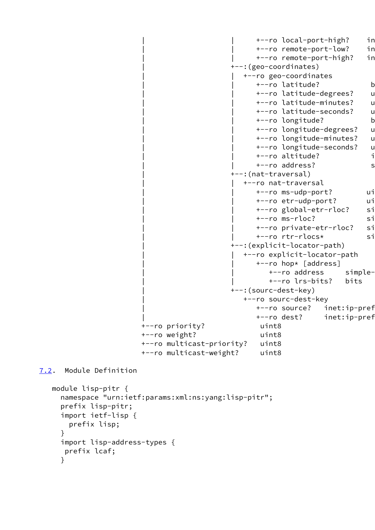```
+--ro local-port-high? in
                                                 +--ro remote-port-low? in
                                                 +--ro remote-port-high? in
                                            | +--:(geo-coordinates)
                                               | | +--ro geo-coordinates
                                                 +--ro latitude? bitson
                                                 +--ro latitude-degrees? u
                                                 +--ro latitude-minutes? u
                                                 +--ro latitude-seconds? u
                                                 +--ro longitude? b
                                                 +--ro longitude-degrees? u
                                                 +--ro longitude-minutes? u
                                                 +--ro longitude-seconds? u
                                                 +--ro altitude? intactional intervals
                                                 +--ro address? simple-
                                            | +--:(nat-traversal)
                                               | | +--ro nat-traversal
                                                 +--ro ms-udp-port? ui
                                                 +--ro etr-udp-port? ui
                                                 +--ro global-etr-rloc? sim
                                                 +--ro ms-rloc? si
                                                 +--ro private-etr-rloc? si
                                                 +--ro rtr-rlocs* si
                                            | +--:(explicit-locator-path)
                                               | | +--ro explicit-locator-path
                                                 +--ro hop* [address]
                                                   +--ro address simple-
                                                    | | +--ro lrs-bits? bits
                                            | +--:(sourc-dest-key)
                                               | +--ro sourc-dest-key
                                                 +--ro source? inet:ip-pref
                                                 +--ro dest? inet:ip-pref
                        +--ro priority? uint8
                        +--ro weight? uint8
                        +--ro multicast-priority? uint8
                        +--ro multicast-weight? uint8
7.2. Module Definition
   module lisp-pitr {
     namespace "urn:ietf:params:xml:ns:yang:lisp-pitr";
```

```
 prefix lisp-pitr;
 import ietf-lisp {
   prefix lisp;
 }
 import lisp-address-types {
  prefix lcaf;
 }
```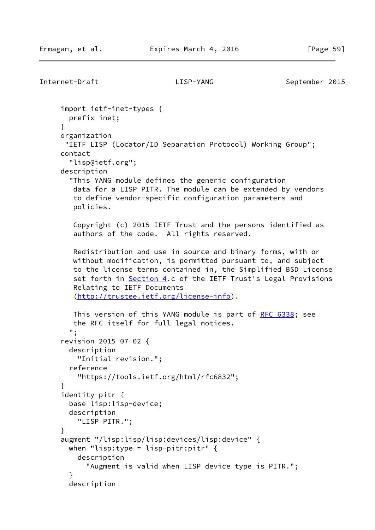```
Internet-Draft LISP-YANG September 2015
      import ietf-inet-types {
       prefix inet;
      }
     organization
      "IETF LISP (Locator/ID Separation Protocol) Working Group";
      contact
       "lisp@ietf.org";
     description
       "This YANG module defines the generic configuration
        data for a LISP PITR. The module can be extended by vendors
        to define vendor-specific configuration parameters and
        policies.
        Copyright (c) 2015 IETF Trust and the persons identified as
        authors of the code. All rights reserved.
        Redistribution and use in source and binary forms, with or
        without modification, is permitted pursuant to, and subject
        to the license terms contained in, the Simplified BSD License
        Section 4.c of the IETF Trust's Legal Provisions
        Relating to IETF Documents
         (http://trustee.ietf.org/license-info).
        RFC 6338; see
        the RFC itself for full legal notices.
       ";
      revision 2015-07-02 {
       description
         "Initial revision.";
       reference
         "https://tools.ietf.org/html/rfc6832";
      }
      identity pitr {
       base lisp:lisp-device;
       description
         "LISP PITR.";
      }
      augment "/lisp:lisp/lisp:devices/lisp:device" {
       when "lisp:type = lisp-pitr:pitr" {
         description
           "Augment is valid when LISP device type is PITR.";
       }
       description
```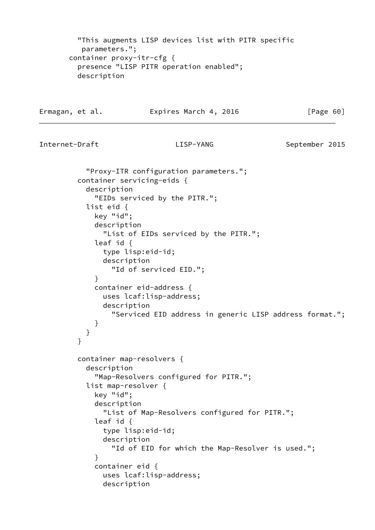"This augments LISP devices list with PITR specific parameters."; container proxy-itr-cfg { presence "LISP PITR operation enabled"; description Ermagan, et al. **Expires March 4, 2016** [Page 60] Internet-Draft LISP-YANG September 2015 "Proxy-ITR configuration parameters."; container servicing-eids { description "EIDs serviced by the PITR."; list eid { key "id"; description "List of EIDs serviced by the PITR."; leaf id { type lisp:eid-id; description "Id of serviced EID."; } container eid-address { uses lcaf:lisp-address; description "Serviced EID address in generic LISP address format."; } } } container map-resolvers { description "Map-Resolvers configured for PITR."; list map-resolver { key "id"; description "List of Map-Resolvers configured for PITR."; leaf id { type lisp:eid-id; description "Id of EID for which the Map-Resolver is used."; } container eid { uses lcaf:lisp-address; description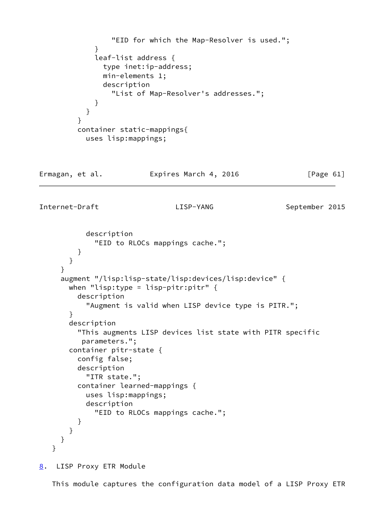```
 "EID for which the Map-Resolver is used.";
 }
             leaf-list address {
               type inet:ip-address;
               min-elements 1;
               description
                  "List of Map-Resolver's addresses.";
 }
           }
         }
         container static-mappings{
           uses lisp:mappings;
Ermagan, et al.             Expires March 4, 2016               [Page 61]
Internet-Draft LISP-YANG September 2015
           description
              "EID to RLOCs mappings cache.";
         }
       }
     }
      augment "/lisp:lisp-state/lisp:devices/lisp:device" {
      when "lisp:type = lisp-pitr:pitr" \{ description
            "Augment is valid when LISP device type is PITR.";
       }
       description
          "This augments LISP devices list state with PITR specific
          parameters.";
       container pitr-state {
         config false;
         description
            "ITR state.";
         container learned-mappings {
           uses lisp:mappings;
           description
              "EID to RLOCs mappings cache.";
         }
       }
```
<span id="page-69-0"></span>[8](#page-69-0). LISP Proxy ETR Module

 } }

This module captures the configuration data model of a LISP Proxy ETR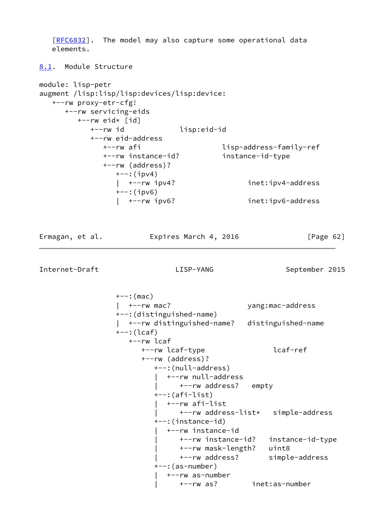<span id="page-70-0"></span>[\[RFC6832](https://datatracker.ietf.org/doc/pdf/rfc6832)]. The model may also capture some operational data elements. [8.1](#page-70-0). Module Structure module: lisp-petr augment /lisp:lisp/lisp:devices/lisp:device: +--rw proxy-etr-cfg! +--rw servicing-eids  $+--rw$  eid\* [id] +--rw id lisp:eid-id +--rw eid-address +--rw afi lisp-address-family-ref +--rw instance-id? instance-id-type +--rw (address)?  $+--$ : (ipv4) | +--rw ipv4? inet:ipv4-address +--:(ipv6) | +--rw ipv6? inet:ipv6-address Ermagan, et al. Expires March 4, 2016 [Page 62] Internet-Draft LISP-YANG September 2015  $+--:$  (mac) | +--rw mac? yang:mac-address +--:(distinguished-name) | +--rw distinguished-name? distinguished-name +--:(lcaf) +--rw lcaf +--rw lcaf-type lcaf-ref +--rw (address)? +--:(null-address) | +--rw null-address | +--rw address? empty +--:(afi-list) | +--rw afi-list | +--rw address-list\* simple-address +--:(instance-id) | +--rw instance-id | +--rw instance-id? instance-id-type | +--rw mask-length? uint8 | +--rw address? simple-address +--:(as-number) | +--rw as-number | +--rw as? inet:as-number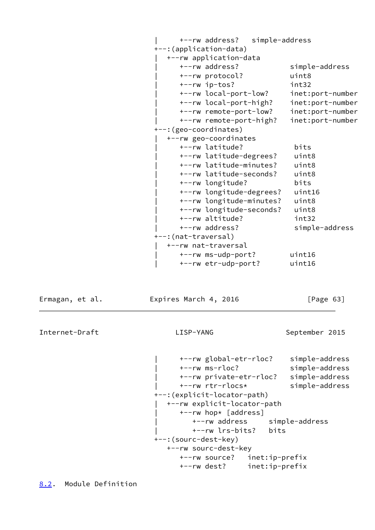| +--rw address? simple-address +--:(application-data) | +--rw application-data | +--rw address? simple-address | +--rw protocol? uint8 | +--rw ip-tos? int32 | +--rw local-port-low? inet:port-number | +--rw local-port-high? inet:port-number | +--rw remote-port-low? inet:port-number | +--rw remote-port-high? inet:port-number +--:(geo-coordinates) | +--rw geo-coordinates | +--rw latitude? bits | +--rw latitude-degrees? uint8 | +--rw latitude-minutes? uint8 | +--rw latitude-seconds? uint8 | +--rw longitude? bits | +--rw longitude-degrees? uint16 | +--rw longitude-minutes? uint8 | +--rw longitude-seconds? uint8 | +--rw altitude? int32 | +--rw address? simple-address +--:(nat-traversal) | +--rw nat-traversal | +--rw ms-udp-port? uint16 | +--rw etr-udp-port? uint16

Ermagan, et al. **Expires March 4, 2016** [Page 63]

Internet-Draft LISP-YANG September 2015

 | +--rw global-etr-rloc? simple-address | +--rw ms-rloc? simple-address | +--rw private-etr-rloc? simple-address | +--rw rtr-rlocs\* simple-address +--:(explicit-locator-path) | +--rw explicit-locator-path | +--rw hop\* [address] | +--rw address simple-address | +--rw lrs-bits? bits +--:(sourc-dest-key) +--rw sourc-dest-key +--rw source? inet:ip-prefix +--rw dest? inet:ip-prefix

<span id="page-71-0"></span>[8.2](#page-71-0). Module Definition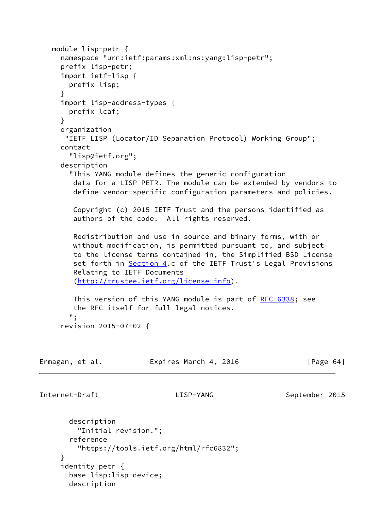```
 module lisp-petr {
     namespace "urn:ietf:params:xml:ns:yang:lisp-petr";
     prefix lisp-petr;
     import ietf-lisp {
       prefix lisp;
     }
     import lisp-address-types {
       prefix lcaf;
     }
     organization
      "IETF LISP (Locator/ID Separation Protocol) Working Group";
     contact
       "lisp@ietf.org";
     description
       "This YANG module defines the generic configuration
        data for a LISP PETR. The module can be extended by vendors to
        define vendor-specific configuration parameters and policies.
        Copyright (c) 2015 IETF Trust and the persons identified as
        authors of the code. All rights reserved.
        Redistribution and use in source and binary forms, with or
        without modification, is permitted pursuant to, and subject
        to the license terms contained in, the Simplified BSD License
       set forth in Section 4.c of the IETF Trust's Legal Provisions
        Relating to IETF Documents
        (http://trustee.ietf.org/license-info).
        RFC 6338; see
        the RFC itself for full legal notices.
       ";
     revision 2015-07-02 {
Ermagan, et al. Expires March 4, 2016 [Page 64]
Internet-Draft LISP-YANG September 2015
       description
         "Initial revision.";
       reference
         "https://tools.ietf.org/html/rfc6832";
     }
     identity petr {
       base lisp:lisp-device;
       description
```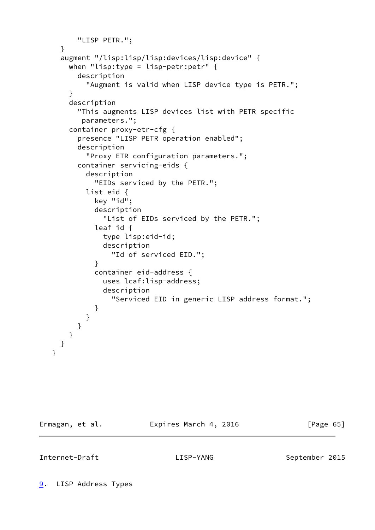```
 "LISP PETR.";
     }
      augment "/lisp:lisp/lisp:devices/lisp:device" {
       when "lisp:type = lisp-petr:petr" \{ description
            "Augment is valid when LISP device type is PETR.";
        }
        description
          "This augments LISP devices list with PETR specific
           parameters.";
        container proxy-etr-cfg {
          presence "LISP PETR operation enabled";
          description
            "Proxy ETR configuration parameters.";
          container servicing-eids {
            description
              "EIDs serviced by the PETR.";
            list eid {
              key "id";
              description
                "List of EIDs serviced by the PETR.";
              leaf id {
                type lisp:eid-id;
                description
                  "Id of serviced EID.";
 }
              container eid-address {
                uses lcaf:lisp-address;
                description
                  "Serviced EID in generic LISP address format.";
 }
            }
         }
       }
     }
   }
```
<span id="page-73-0"></span>

Ermagan, et al. **Expires March 4, 2016** [Page 65]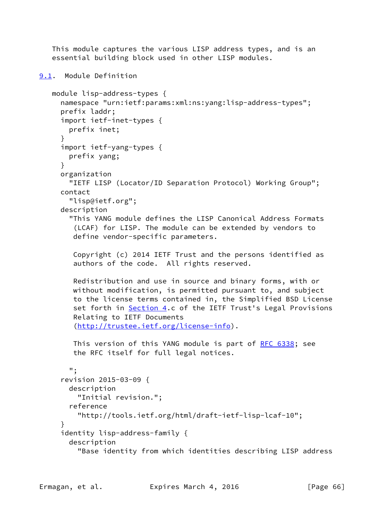This module captures the various LISP address types, and is an essential building block used in other LISP modules.

```
9.1. Module Definition
    module lisp-address-types {
      namespace "urn:ietf:params:xml:ns:yang:lisp-address-types";
      prefix laddr;
      import ietf-inet-types {
        prefix inet;
      }
      import ietf-yang-types {
        prefix yang;
      }
      organization
        "IETF LISP (Locator/ID Separation Protocol) Working Group";
      contact
        "lisp@ietf.org";
      description
        "This YANG module defines the LISP Canonical Address Formats
         (LCAF) for LISP. The module can be extended by vendors to
         define vendor-specific parameters.
         Copyright (c) 2014 IETF Trust and the persons identified as
         authors of the code. All rights reserved.
         Redistribution and use in source and binary forms, with or
         without modification, is permitted pursuant to, and subject
         to the license terms contained in, the Simplified BSD License
         Section 4.c of the IETF Trust's Legal Provisions
         Relating to IETF Documents
         (http://trustee.ietf.org/license-info).
         This version of this YANG module is part of RFC 6338; see
         the RFC itself for full legal notices.
        ";
      revision 2015-03-09 {
        description
          "Initial revision.";
        reference
          "http://tools.ietf.org/html/draft-ietf-lisp-lcaf-10";
      }
      identity lisp-address-family {
        description
          "Base identity from which identities describing LISP address
```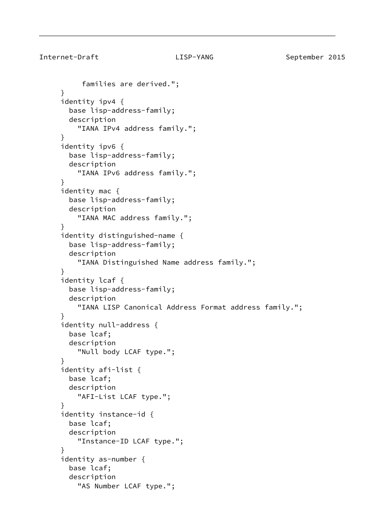```
 families are derived.";
 }
 identity ipv4 {
   base lisp-address-family;
   description
     "IANA IPv4 address family.";
 }
 identity ipv6 {
   base lisp-address-family;
   description
     "IANA IPv6 address family.";
 }
 identity mac {
   base lisp-address-family;
   description
     "IANA MAC address family.";
 }
 identity distinguished-name {
   base lisp-address-family;
   description
     "IANA Distinguished Name address family.";
 }
 identity lcaf {
   base lisp-address-family;
   description
     "IANA LISP Canonical Address Format address family.";
 }
 identity null-address {
   base lcaf;
   description
     "Null body LCAF type.";
 }
 identity afi-list {
   base lcaf;
   description
     "AFI-List LCAF type.";
 }
 identity instance-id {
   base lcaf;
   description
     "Instance-ID LCAF type.";
 }
 identity as-number {
   base lcaf;
   description
     "AS Number LCAF type.";
```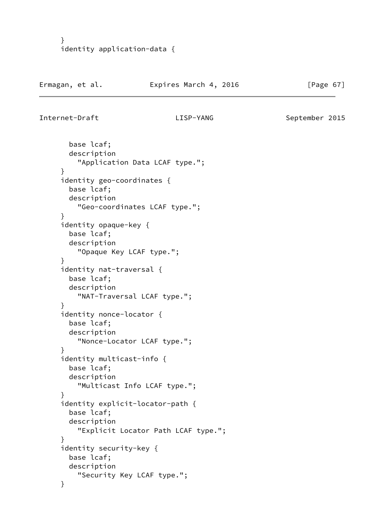```
 }
 identity application-data {
```

```
Internet-Draft LISP-YANG September 2015
```

```
 base lcaf;
   description
     "Application Data LCAF type.";
 }
 identity geo-coordinates {
   base lcaf;
   description
     "Geo-coordinates LCAF type.";
 }
 identity opaque-key {
   base lcaf;
   description
     "Opaque Key LCAF type.";
 }
 identity nat-traversal {
   base lcaf;
   description
     "NAT-Traversal LCAF type.";
 }
 identity nonce-locator {
   base lcaf;
   description
     "Nonce-Locator LCAF type.";
 }
 identity multicast-info {
   base lcaf;
   description
     "Multicast Info LCAF type.";
 }
 identity explicit-locator-path {
   base lcaf;
   description
     "Explicit Locator Path LCAF type.";
 }
 identity security-key {
   base lcaf;
   description
     "Security Key LCAF type.";
 }
```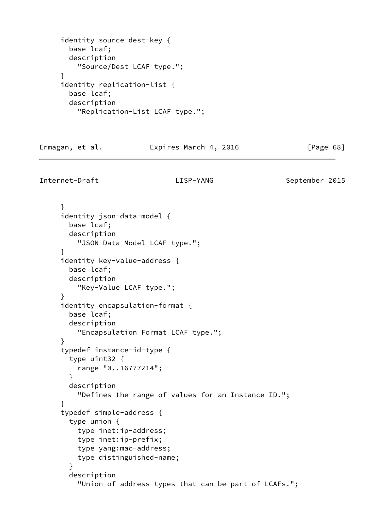```
 identity source-dest-key {
   base lcaf;
   description
     "Source/Dest LCAF type.";
 }
 identity replication-list {
   base lcaf;
   description
     "Replication-List LCAF type.";
```
Ermagan, et al. **Expires March 4, 2016** [Page 68]

Internet-Draft LISP-YANG September 2015

 } identity json-data-model { base lcaf; description "JSON Data Model LCAF type."; } identity key-value-address { base lcaf; description "Key-Value LCAF type."; } identity encapsulation-format { base lcaf; description "Encapsulation Format LCAF type."; } typedef instance-id-type { type uint32 { range "0..16777214"; } description "Defines the range of values for an Instance ID."; } typedef simple-address { type union { type inet:ip-address; type inet:ip-prefix; type yang:mac-address; type distinguished-name; } description "Union of address types that can be part of LCAFs.";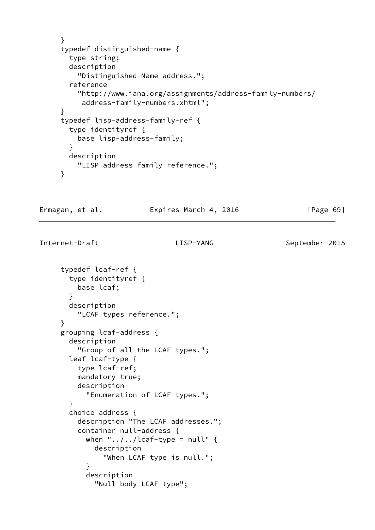```
 }
 typedef distinguished-name {
   type string;
   description
     "Distinguished Name address.";
   reference
     "http://www.iana.org/assignments/address-family-numbers/
      address-family-numbers.xhtml";
 }
 typedef lisp-address-family-ref {
   type identityref {
     base lisp-address-family;
   }
   description
     "LISP address family reference.";
 }
```
Ermagan, et al. Expires March 4, 2016 [Page 69]

```
 typedef lcaf-ref {
        type identityref {
          base lcaf;
        }
        description
          "LCAF types reference.";
      }
      grouping lcaf-address {
        description
          "Group of all the LCAF types.";
        leaf lcaf-type {
          type lcaf-ref;
          mandatory true;
          description
            "Enumeration of LCAF types.";
        }
        choice address {
          description "The LCAF addresses.";
          container null-address {
           when "\ldots, /\ldots, /lcaf-type = null" {
              description
                 "When LCAF type is null.";
 }
            description
               "Null body LCAF type";
```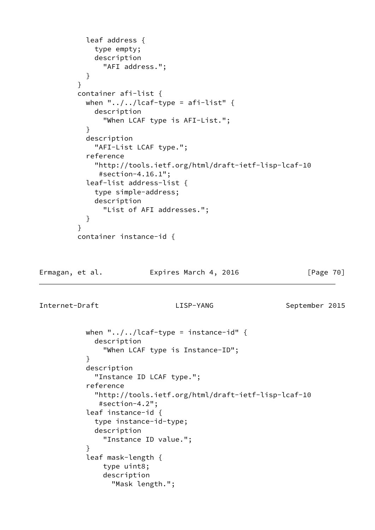```
 leaf address {
             type empty;
             description
               "AFI address.";
 }
         }
         container afi-list {
          when "\ldots/\ldots/lcaf-type = afi-list" {
             description
               "When LCAF type is AFI-List.";
 }
           description
             "AFI-List LCAF type.";
           reference
             "http://tools.ietf.org/html/draft-ietf-lisp-lcaf-10
              #section-4.16.1";
           leaf-list address-list {
             type simple-address;
             description
               "List of AFI addresses.";
 }
 }
         container instance-id {
```
Ermagan, et al. Expires March 4, 2016 [Page 70]

```
when "\ldots, /\ldots/lcaf-type = instance-id" {
              description
                "When LCAF type is Instance-ID";
 }
            description
              "Instance ID LCAF type.";
            reference
              "http://tools.ietf.org/html/draft-ietf-lisp-lcaf-10
               #section-4.2";
            leaf instance-id {
              type instance-id-type;
              description
                "Instance ID value.";
 }
            leaf mask-length {
                type uint8;
                description
                  "Mask length.";
```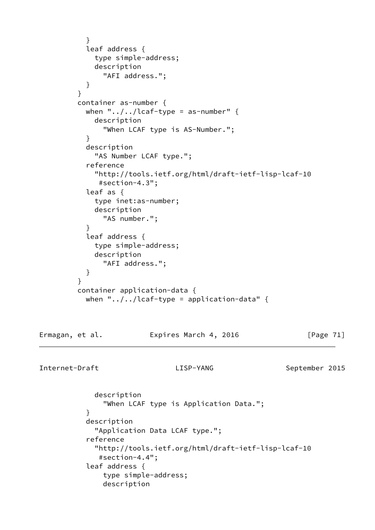```
 }
           leaf address {
             type simple-address;
             description
               "AFI address.";
 }
         }
         container as-number {
          when "\ldots/\ldots/lcaf-type = as-number" {
             description
               "When LCAF type is AS-Number.";
 }
           description
             "AS Number LCAF type.";
            reference
             "http://tools.ietf.org/html/draft-ietf-lisp-lcaf-10
              #section-4.3";
            leaf as {
             type inet:as-number;
             description
               "AS number.";
 }
            leaf address {
             type simple-address;
             description
               "AFI address.";
 }
          }
         container application-data {
          when "\ldots, /\ldots / lcaf-type = application-data" {
Ermagan, et al.               Expires March 4, 2016               [Page 71]
Internet-Draft LISP-YANG September 2015
             description
               "When LCAF type is Application Data.";
 }
            description
             "Application Data LCAF type.";
            reference
             "http://tools.ietf.org/html/draft-ietf-lisp-lcaf-10
              #section-4.4";
            leaf address {
               type simple-address;
               description
```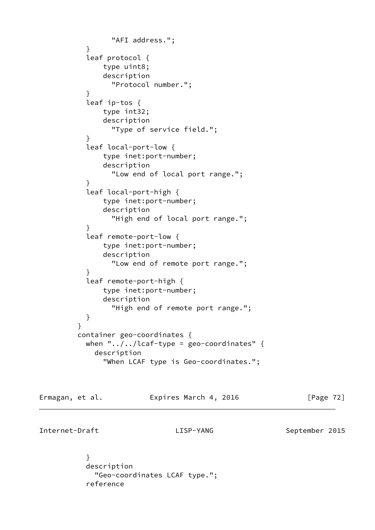```
 "AFI address.";
 }
           leaf protocol {
               type uint8;
               description
                 "Protocol number.";
 }
           leaf ip-tos {
               type int32;
               description
                 "Type of service field.";
 }
           leaf local-port-low {
               type inet:port-number;
               description
                 "Low end of local port range.";
 }
           leaf local-port-high {
               type inet:port-number;
               description
                 "High end of local port range.";
 }
           leaf remote-port-low {
               type inet:port-number;
               description
                 "Low end of remote port range.";
 }
           leaf remote-port-high {
               type inet:port-number;
               description
                 "High end of remote port range.";
 }
 }
         container geo-coordinates {
          when "\ldots/\ldots/lcaf-type = geo-coordinates" {
             description
               "When LCAF type is Geo-coordinates.";
```
Ermagan, et al. **Expires March 4, 2016** [Page 72]

Internet-Draft LISP-YANG September 2015

 } description "Geo-coordinates LCAF type."; reference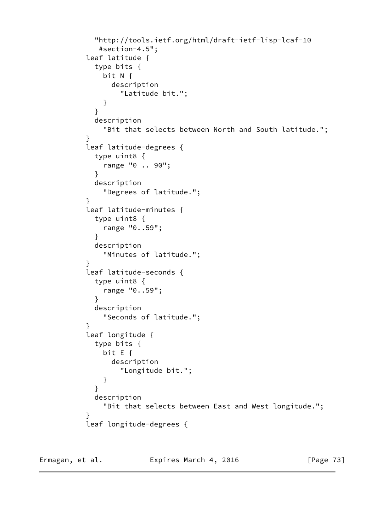```
 "http://tools.ietf.org/html/draft-ietf-lisp-lcaf-10
             #section-4.5";
          leaf latitude {
            type bits {
              bit N {
                description
                 "Latitude bit.";
 }
 }
            description
              "Bit that selects between North and South latitude.";
 }
          leaf latitude-degrees {
            type uint8 {
              range "0 .. 90";
 }
            description
              "Degrees of latitude.";
 }
          leaf latitude-minutes {
            type uint8 {
              range "0..59";
 }
            description
              "Minutes of latitude.";
 }
          leaf latitude-seconds {
            type uint8 {
              range "0..59";
 }
            description
              "Seconds of latitude.";
 }
          leaf longitude {
            type bits {
              bit E {
                description
                 "Longitude bit.";
 }
 }
            description
              "Bit that selects between East and West longitude.";
 }
          leaf longitude-degrees {
```
Ermagan, et al. **Expires March 4, 2016** [Page 73]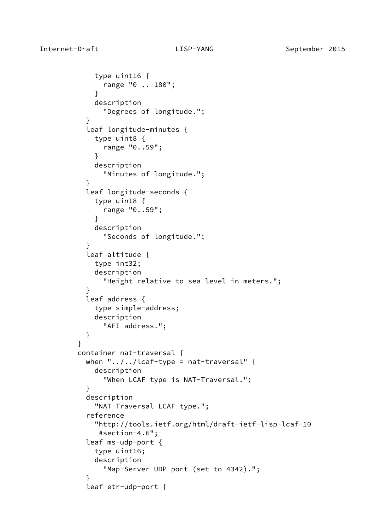```
 type uint16 {
               range "0 .. 180";
 }
             description
               "Degrees of longitude.";
 }
           leaf longitude-minutes {
             type uint8 {
               range "0..59";
 }
             description
               "Minutes of longitude.";
 }
           leaf longitude-seconds {
             type uint8 {
               range "0..59";
 }
             description
               "Seconds of longitude.";
 }
           leaf altitude {
             type int32;
             description
               "Height relative to sea level in meters.";
 }
           leaf address {
             type simple-address;
             description
               "AFI address.";
           }
 }
         container nat-traversal {
          when "\ldots, /\ldots/lcaf-type = nat-traversal" {
             description
               "When LCAF type is NAT-Traversal.";
 }
           description
             "NAT-Traversal LCAF type.";
           reference
             "http://tools.ietf.org/html/draft-ietf-lisp-lcaf-10
              #section-4.6";
           leaf ms-udp-port {
             type uint16;
             description
               "Map-Server UDP port (set to 4342).";
 }
           leaf etr-udp-port {
```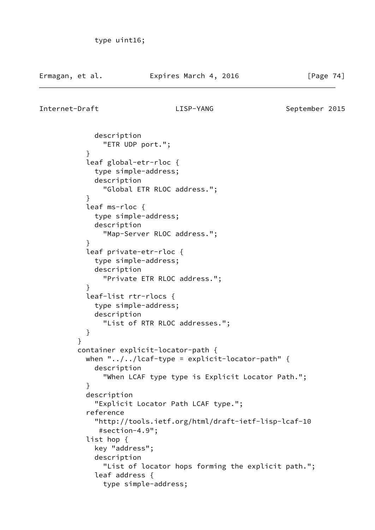Internet-Draft LISP-YANG September 2015

}

 description "ETR UDP port."; } leaf global-etr-rloc { type simple-address; description "Global ETR RLOC address."; } leaf ms-rloc { type simple-address; description "Map-Server RLOC address."; } leaf private-etr-rloc { type simple-address; description "Private ETR RLOC address."; } leaf-list rtr-rlocs { type simple-address; description "List of RTR RLOC addresses."; } container explicit-locator-path { when " $\ldots$ , / $\ldots$  / lcaf-type = explicit-locator-path" { description "When LCAF type type is Explicit Locator Path."; } description "Explicit Locator Path LCAF type."; reference "http://tools.ietf.org/html/draft-ietf-lisp-lcaf-10 #section-4.9"; list hop { key "address"; description "List of locator hops forming the explicit path."; leaf address { type simple-address;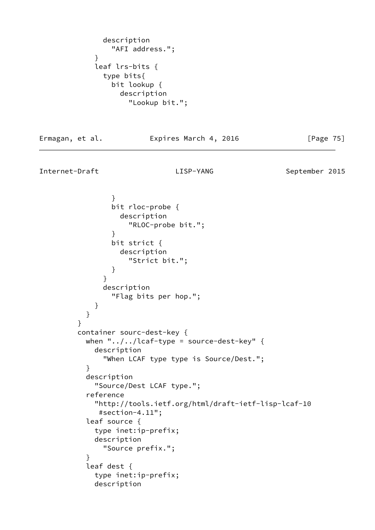```
 description
                 "AFI address.";
 }
             leaf lrs-bits {
               type bits{
                 bit lookup {
                   description
                     "Lookup bit.";
```
Ermagan, et al. **Expires March 4, 2016** [Page 75]

```
Internet-Draft LISP-YANG September 2015
```
 } bit rloc-probe { description "RLOC-probe bit."; } bit strict { description "Strict bit."; } } description "Flag bits per hop."; } } } container sourc-dest-key { when " $\ldots$ , / $\ldots$  / lcaf-type = source-dest-key" { description "When LCAF type type is Source/Dest."; } description "Source/Dest LCAF type."; reference "http://tools.ietf.org/html/draft-ietf-lisp-lcaf-10 #section-4.11"; leaf source { type inet:ip-prefix; description "Source prefix."; } leaf dest { type inet:ip-prefix; description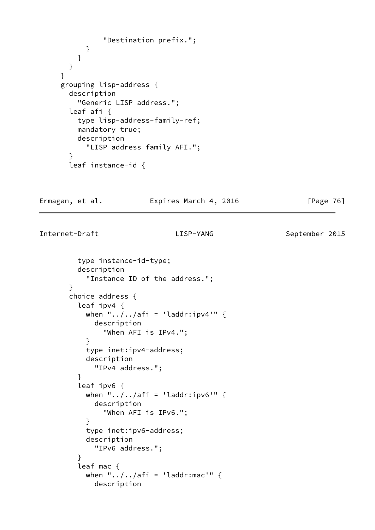```
 "Destination prefix.";
       }
     }
   }
 }
 grouping lisp-address {
   description
     "Generic LISP address.";
   leaf afi {
     type lisp-address-family-ref;
     mandatory true;
     description
       "LISP address family AFI.";
   }
   leaf instance-id {
```
Ermagan, et al. **Expires March 4, 2016** [Page 76]

```
 type instance-id-type;
          description
            "Instance ID of the address.";
        }
        choice address {
          leaf ipv4 {
           when "../../afi = 'laddr:ipv4'" {
              description
                "When AFI is IPv4.";
 }
            type inet:ipv4-address;
            description
              "IPv4 address.";
          }
          leaf ipv6 {
           when "\ldots, afi = 'laddr:ipv6'" {
              description
                "When AFI is IPv6.";
 }
            type inet:ipv6-address;
            description
              "IPv6 address.";
 }
          leaf mac {
           when "\ldots/\ldots/afi = 'laddr:mac'" {
              description
```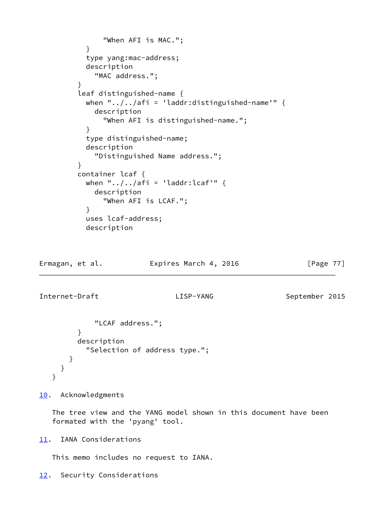```
 "When AFI is MAC.";
 }
           type yang:mac-address;
           description
             "MAC address.";
 }
         leaf distinguished-name {
          when "\ldots, \ldots / afi = 'laddr:distinguished-name'" {
             description
                "When AFI is distinguished-name.";
 }
           type distinguished-name;
           description
             "Distinguished Name address.";
 }
         container lcaf {
          when "\ldots/\ldots/afi = 'laddr:lcaf'" {
             description
                "When AFI is LCAF.";
 }
           uses lcaf-address;
           description
```
Ermagan, et al. **Expires March 4, 2016** [Page 77]

Internet-Draft LISP-YANG September 2015

```
 "LCAF address.";
        }
        description
          "Selection of address type.";
     }
   }
 }
```
<span id="page-87-0"></span>[10.](#page-87-0) Acknowledgments

 The tree view and the YANG model shown in this document have been formated with the 'pyang' tool.

<span id="page-87-1"></span>[11.](#page-87-1) IANA Considerations

This memo includes no request to IANA.

<span id="page-87-2"></span>[12.](#page-87-2) Security Considerations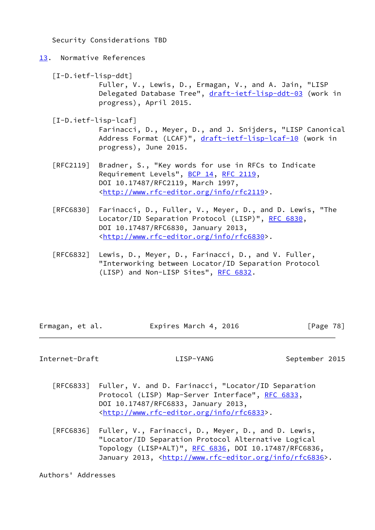Security Considerations TBD

# <span id="page-88-0"></span>[13.](#page-88-0) Normative References

[I-D.ietf-lisp-ddt]

 Fuller, V., Lewis, D., Ermagan, V., and A. Jain, "LISP Delegated Database Tree", [draft-ietf-lisp-ddt-03](https://datatracker.ietf.org/doc/pdf/draft-ietf-lisp-ddt-03) (work in progress), April 2015.

[I-D.ietf-lisp-lcaf]

 Farinacci, D., Meyer, D., and J. Snijders, "LISP Canonical Address Format (LCAF)", [draft-ietf-lisp-lcaf-10](https://datatracker.ietf.org/doc/pdf/draft-ietf-lisp-lcaf-10) (work in progress), June 2015.

- [RFC2119] Bradner, S., "Key words for use in RFCs to Indicate Requirement Levels", [BCP 14](https://datatracker.ietf.org/doc/pdf/bcp14), [RFC 2119](https://datatracker.ietf.org/doc/pdf/rfc2119), DOI 10.17487/RFC2119, March 1997, <<http://www.rfc-editor.org/info/rfc2119>>.
- [RFC6830] Farinacci, D., Fuller, V., Meyer, D., and D. Lewis, "The Locator/ID Separation Protocol (LISP)", [RFC 6830,](https://datatracker.ietf.org/doc/pdf/rfc6830) DOI 10.17487/RFC6830, January 2013, <<http://www.rfc-editor.org/info/rfc6830>>.
- [RFC6832] Lewis, D., Meyer, D., Farinacci, D., and V. Fuller, "Interworking between Locator/ID Separation Protocol (LISP) and Non-LISP Sites", [RFC 6832.](https://datatracker.ietf.org/doc/pdf/rfc6832)

| Ermagan, et al. | Expires March 4, 2016 | [Page 78] |
|-----------------|-----------------------|-----------|

Internet-Draft LISP-YANG September 2015

- [RFC6833] Fuller, V. and D. Farinacci, "Locator/ID Separation Protocol (LISP) Map-Server Interface", [RFC 6833](https://datatracker.ietf.org/doc/pdf/rfc6833), DOI 10.17487/RFC6833, January 2013, <<http://www.rfc-editor.org/info/rfc6833>>.
- [RFC6836] Fuller, V., Farinacci, D., Meyer, D., and D. Lewis, "Locator/ID Separation Protocol Alternative Logical Topology (LISP+ALT)", [RFC 6836](https://datatracker.ietf.org/doc/pdf/rfc6836), DOI 10.17487/RFC6836, January 2013, [<http://www.rfc-editor.org/info/rfc6836](http://www.rfc-editor.org/info/rfc6836)>.

Authors' Addresses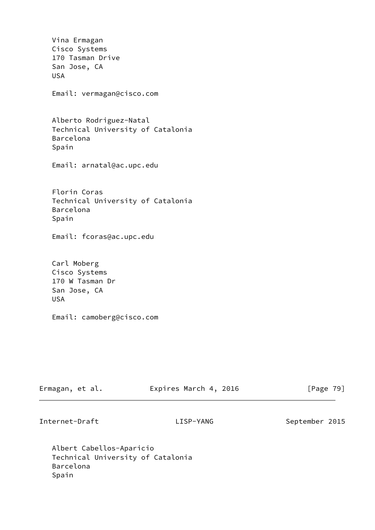Vina Ermagan Cisco Systems 170 Tasman Drive San Jose, CA USA Email: vermagan@cisco.com Alberto Rodriguez-Natal Technical University of Catalonia Barcelona Spain Email: arnatal@ac.upc.edu Florin Coras Technical University of Catalonia Barcelona Spain Email: fcoras@ac.upc.edu Carl Moberg Cisco Systems 170 W Tasman Dr San Jose, CA USA Email: camoberg@cisco.com

| Ermagan, et al. | Expires March 4, 2016 | [Page 79] |  |
|-----------------|-----------------------|-----------|--|
|                 |                       |           |  |

Internet-Draft LISP-YANG September 2015

 Albert Cabellos-Aparicio Technical University of Catalonia Barcelona Spain